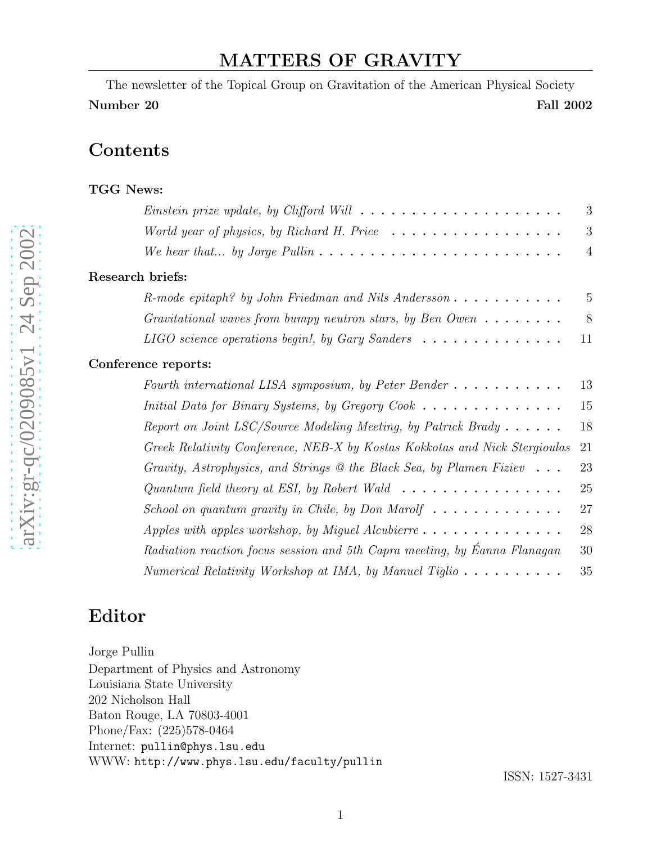## MATTERS OF GRAVITY

The newsletter of the Topical Group on Gravitation of the American Physical Society Number 20 Fall 2002

### **Contents**

| <b>TGG News:</b>                                                                             |                |
|----------------------------------------------------------------------------------------------|----------------|
| <i>Einstein prize update, by Clifford Will</i> $\ldots \ldots \ldots \ldots \ldots \ldots$   | 3              |
| World year of physics, by Richard H. Price $\ldots \ldots \ldots \ldots \ldots$              | 3              |
| We hear that by Jorge Pullin $\ldots \ldots \ldots \ldots \ldots \ldots \ldots \ldots$       | $\overline{4}$ |
| Research briefs:                                                                             |                |
| $R$ -mode epitaph? by John Friedman and Nils Andersson                                       | 5              |
| Gravitational waves from bumpy neutron stars, by Ben Owen $\dots \dots$                      | 8              |
| LIGO science operations begin!, by Gary Sanders $\dots \dots \dots \dots$                    | 11             |
| Conference reports:                                                                          |                |
| Fourth international LISA symposium, by Peter Bender $\dots \dots \dots$                     | 13             |
| <i>Initial Data for Binary Systems, by Gregory Cook</i> $\ldots \ldots \ldots \ldots \ldots$ | 15             |
| Report on Joint LSC/Source Modeling Meeting, by Patrick Brady $\dots \dots$                  | 18             |
| Greek Relativity Conference, NEB-X by Kostas Kokkotas and Nick Stergioulas                   | 21             |
| Gravity, Astrophysics, and Strings $\circledcirc$ the Black Sea, by Plamen Fiziev            | 23             |
| Quantum field theory at ESI, by Robert Wald $\ldots \ldots \ldots \ldots \ldots$             | 25             |
| School on quantum gravity in Chile, by Don Marolf $\ldots \ldots \ldots \ldots$              | 27             |
|                                                                                              | 28             |
| Radiation reaction focus session and 5th Capra meeting, by Eanna Flanagan                    | 30             |
| Numerical Relativity Workshop at IMA, by Manuel Tiglio $\dots \dots \dots$                   | 35             |

## Editor

Jorge Pullin Department of Physics and Astronomy Louisiana State University 202 Nicholson Hall Baton Rouge, LA 70803-4001 Phone/Fax: (225)578-0464 Internet: pullin@phys.lsu.edu WWW: http://www.phys.lsu.edu/faculty/pullin

ISSN: 1527-3431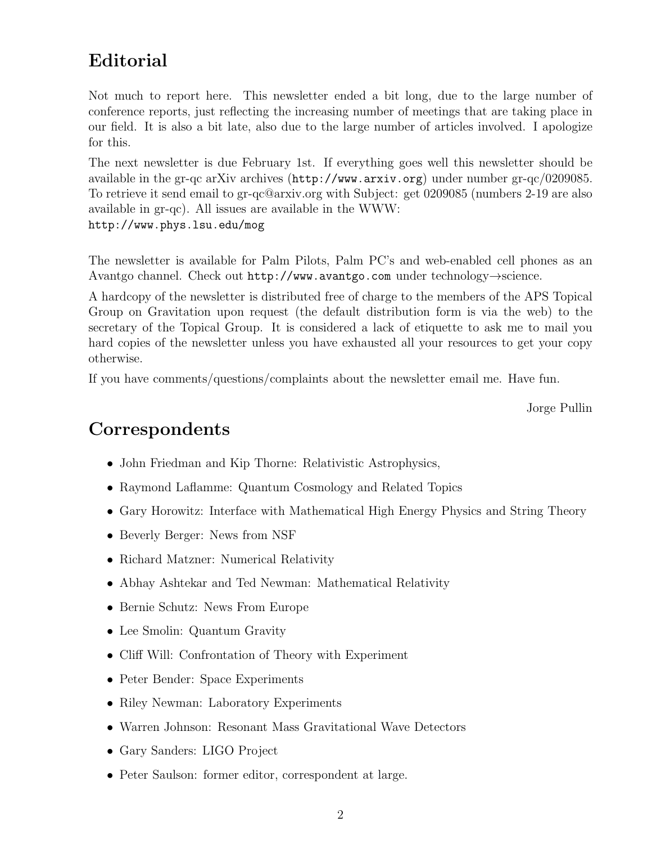# Editorial

Not much to report here. This newsletter ended a bit long, due to the large number of conference reports, just reflecting the increasing number of meetings that are taking place in our field. It is also a bit late, also due to the large number of articles involved. I apologize for this.

The next newsletter is due February 1st. If everything goes well this newsletter should be available in the gr-qc arXiv archives (http://www.arxiv.org) under number gr-qc/0209085. To retrieve it send email to gr-qc@arxiv.org with Subject: get 0209085 (numbers 2-19 are also available in gr-qc). All issues are available in the WWW: http://www.phys.lsu.edu/mog

The newsletter is available for Palm Pilots, Palm PC's and web-enabled cell phones as an Avantgo channel. Check out http://www.avantgo.com under technology→science.

A hardcopy of the newsletter is distributed free of charge to the members of the APS Topical Group on Gravitation upon request (the default distribution form is via the web) to the secretary of the Topical Group. It is considered a lack of etiquette to ask me to mail you hard copies of the newsletter unless you have exhausted all your resources to get your copy otherwise.

If you have comments/questions/complaints about the newsletter email me. Have fun.

Jorge Pullin

## Correspondents

- John Friedman and Kip Thorne: Relativistic Astrophysics,
- Raymond Laflamme: Quantum Cosmology and Related Topics
- Gary Horowitz: Interface with Mathematical High Energy Physics and String Theory
- Beverly Berger: News from NSF
- Richard Matzner: Numerical Relativity
- Abhay Ashtekar and Ted Newman: Mathematical Relativity
- Bernie Schutz: News From Europe
- Lee Smolin: Quantum Gravity
- Cliff Will: Confrontation of Theory with Experiment
- Peter Bender: Space Experiments
- Riley Newman: Laboratory Experiments
- Warren Johnson: Resonant Mass Gravitational Wave Detectors
- Gary Sanders: LIGO Project
- Peter Saulson: former editor, correspondent at large.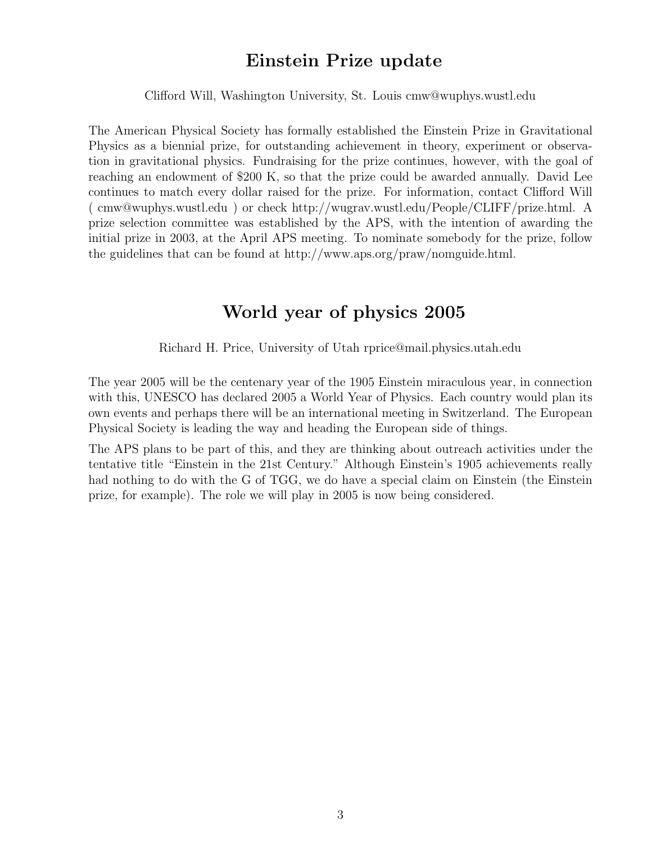### Einstein Prize update

Clifford Will, Washington University, St. Louis cmw@wuphys.wustl.edu

The American Physical Society has formally established the Einstein Prize in Gravitational Physics as a biennial prize, for outstanding achievement in theory, experiment or observation in gravitational physics. Fundraising for the prize continues, however, with the goal of reaching an endowment of \$200 K, so that the prize could be awarded annually. David Lee continues to match every dollar raised for the prize. For information, contact Clifford Will ( cmw@wuphys.wustl.edu ) or check http://wugrav.wustl.edu/People/CLIFF/prize.html. A prize selection committee was established by the APS, with the intention of awarding the initial prize in 2003, at the April APS meeting. To nominate somebody for the prize, follow the guidelines that can be found at http://www.aps.org/praw/nomguide.html.

### World year of physics 2005

Richard H. Price, University of Utah rprice@mail.physics.utah.edu

The year 2005 will be the centenary year of the 1905 Einstein miraculous year, in connection with this, UNESCO has declared 2005 a World Year of Physics. Each country would plan its own events and perhaps there will be an international meeting in Switzerland. The European Physical Society is leading the way and heading the European side of things.

The APS plans to be part of this, and they are thinking about outreach activities under the tentative title "Einstein in the 21st Century." Although Einstein's 1905 achievements really had nothing to do with the G of TGG, we do have a special claim on Einstein (the Einstein prize, for example). The role we will play in 2005 is now being considered.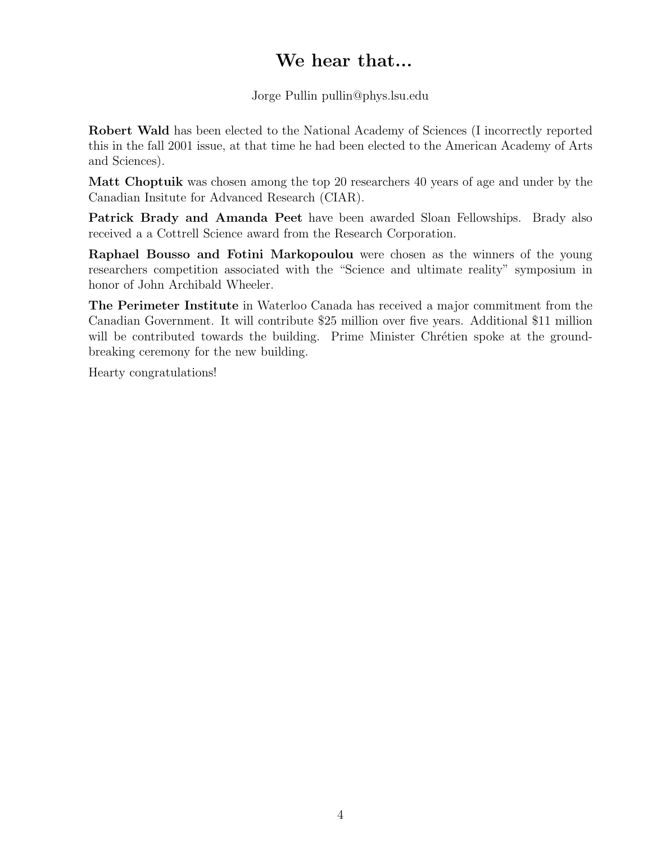# We hear that...

Jorge Pullin pullin@phys.lsu.edu

Robert Wald has been elected to the National Academy of Sciences (I incorrectly reported this in the fall 2001 issue, at that time he had been elected to the American Academy of Arts and Sciences).

Matt Choptuik was chosen among the top 20 researchers 40 years of age and under by the Canadian Insitute for Advanced Research (CIAR).

Patrick Brady and Amanda Peet have been awarded Sloan Fellowships. Brady also received a a Cottrell Science award from the Research Corporation.

Raphael Bousso and Fotini Markopoulou were chosen as the winners of the young researchers competition associated with the "Science and ultimate reality" symposium in honor of John Archibald Wheeler.

The Perimeter Institute in Waterloo Canada has received a major commitment from the Canadian Government. It will contribute \$25 million over five years. Additional \$11 million will be contributed towards the building. Prime Minister Chrétien spoke at the groundbreaking ceremony for the new building.

Hearty congratulations!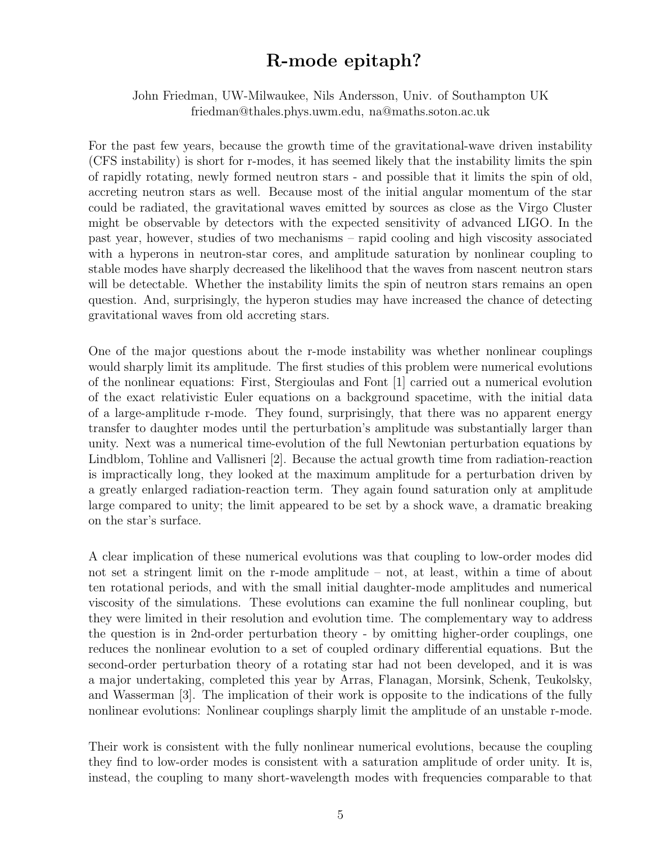## R-mode epitaph?

John Friedman, UW-Milwaukee, Nils Andersson, Univ. of Southampton UK friedman@thales.phys.uwm.edu, na@maths.soton.ac.uk

For the past few years, because the growth time of the gravitational-wave driven instability (CFS instability) is short for r-modes, it has seemed likely that the instability limits the spin of rapidly rotating, newly formed neutron stars - and possible that it limits the spin of old, accreting neutron stars as well. Because most of the initial angular momentum of the star could be radiated, the gravitational waves emitted by sources as close as the Virgo Cluster might be observable by detectors with the expected sensitivity of advanced LIGO. In the past year, however, studies of two mechanisms – rapid cooling and high viscosity associated with a hyperons in neutron-star cores, and amplitude saturation by nonlinear coupling to stable modes have sharply decreased the likelihood that the waves from nascent neutron stars will be detectable. Whether the instability limits the spin of neutron stars remains an open question. And, surprisingly, the hyperon studies may have increased the chance of detecting gravitational waves from old accreting stars.

One of the major questions about the r-mode instability was whether nonlinear couplings would sharply limit its amplitude. The first studies of this problem were numerical evolutions of the nonlinear equations: First, Stergioulas and Font [1] carried out a numerical evolution of the exact relativistic Euler equations on a background spacetime, with the initial data of a large-amplitude r-mode. They found, surprisingly, that there was no apparent energy transfer to daughter modes until the perturbation's amplitude was substantially larger than unity. Next was a numerical time-evolution of the full Newtonian perturbation equations by Lindblom, Tohline and Vallisneri [2]. Because the actual growth time from radiation-reaction is impractically long, they looked at the maximum amplitude for a perturbation driven by a greatly enlarged radiation-reaction term. They again found saturation only at amplitude large compared to unity; the limit appeared to be set by a shock wave, a dramatic breaking on the star's surface.

A clear implication of these numerical evolutions was that coupling to low-order modes did not set a stringent limit on the r-mode amplitude – not, at least, within a time of about ten rotational periods, and with the small initial daughter-mode amplitudes and numerical viscosity of the simulations. These evolutions can examine the full nonlinear coupling, but they were limited in their resolution and evolution time. The complementary way to address the question is in 2nd-order perturbation theory - by omitting higher-order couplings, one reduces the nonlinear evolution to a set of coupled ordinary differential equations. But the second-order perturbation theory of a rotating star had not been developed, and it is was a major undertaking, completed this year by Arras, Flanagan, Morsink, Schenk, Teukolsky, and Wasserman [3]. The implication of their work is opposite to the indications of the fully nonlinear evolutions: Nonlinear couplings sharply limit the amplitude of an unstable r-mode.

Their work is consistent with the fully nonlinear numerical evolutions, because the coupling they find to low-order modes is consistent with a saturation amplitude of order unity. It is, instead, the coupling to many short-wavelength modes with frequencies comparable to that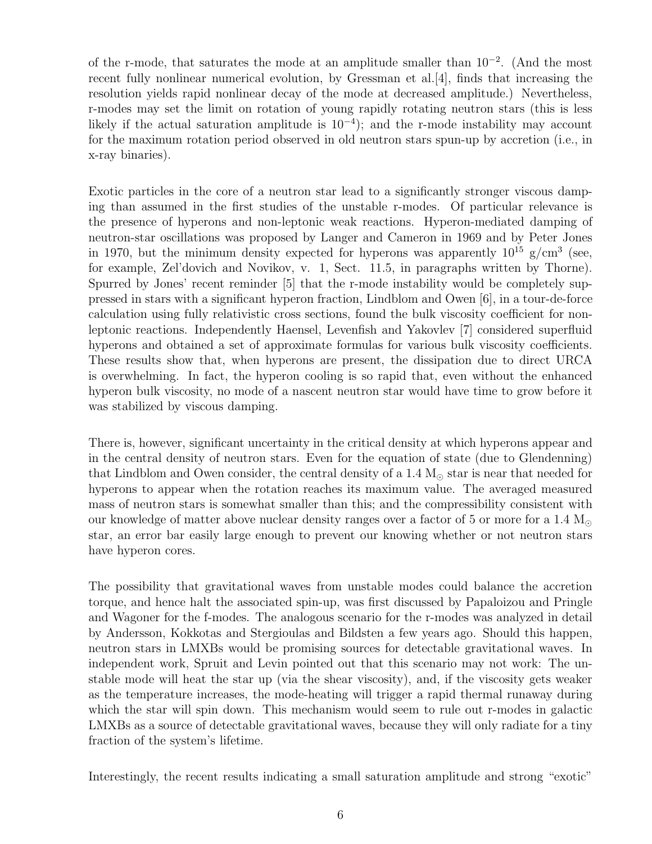of the r-mode, that saturates the mode at an amplitude smaller than 10<sup>−</sup><sup>2</sup> . (And the most recent fully nonlinear numerical evolution, by Gressman et al.[4], finds that increasing the resolution yields rapid nonlinear decay of the mode at decreased amplitude.) Nevertheless, r-modes may set the limit on rotation of young rapidly rotating neutron stars (this is less likely if the actual saturation amplitude is  $10^{-4}$ ); and the r-mode instability may account for the maximum rotation period observed in old neutron stars spun-up by accretion (i.e., in x-ray binaries).

Exotic particles in the core of a neutron star lead to a significantly stronger viscous damping than assumed in the first studies of the unstable r-modes. Of particular relevance is the presence of hyperons and non-leptonic weak reactions. Hyperon-mediated damping of neutron-star oscillations was proposed by Langer and Cameron in 1969 and by Peter Jones in 1970, but the minimum density expected for hyperons was apparently  $10^{15}$  g/cm<sup>3</sup> (see, for example, Zel'dovich and Novikov, v. 1, Sect. 11.5, in paragraphs written by Thorne). Spurred by Jones' recent reminder [5] that the r-mode instability would be completely suppressed in stars with a significant hyperon fraction, Lindblom and Owen [6], in a tour-de-force calculation using fully relativistic cross sections, found the bulk viscosity coefficient for nonleptonic reactions. Independently Haensel, Levenfish and Yakovlev [7] considered superfluid hyperons and obtained a set of approximate formulas for various bulk viscosity coefficients. These results show that, when hyperons are present, the dissipation due to direct URCA is overwhelming. In fact, the hyperon cooling is so rapid that, even without the enhanced hyperon bulk viscosity, no mode of a nascent neutron star would have time to grow before it was stabilized by viscous damping.

There is, however, significant uncertainty in the critical density at which hyperons appear and in the central density of neutron stars. Even for the equation of state (due to Glendenning) that Lindblom and Owen consider, the central density of a 1.4  $M_{\odot}$  star is near that needed for hyperons to appear when the rotation reaches its maximum value. The averaged measured mass of neutron stars is somewhat smaller than this; and the compressibility consistent with our knowledge of matter above nuclear density ranges over a factor of 5 or more for a 1.4  $\rm M_{\odot}$ star, an error bar easily large enough to prevent our knowing whether or not neutron stars have hyperon cores.

The possibility that gravitational waves from unstable modes could balance the accretion torque, and hence halt the associated spin-up, was first discussed by Papaloizou and Pringle and Wagoner for the f-modes. The analogous scenario for the r-modes was analyzed in detail by Andersson, Kokkotas and Stergioulas and Bildsten a few years ago. Should this happen, neutron stars in LMXBs would be promising sources for detectable gravitational waves. In independent work, Spruit and Levin pointed out that this scenario may not work: The unstable mode will heat the star up (via the shear viscosity), and, if the viscosity gets weaker as the temperature increases, the mode-heating will trigger a rapid thermal runaway during which the star will spin down. This mechanism would seem to rule out r-modes in galactic LMXBs as a source of detectable gravitational waves, because they will only radiate for a tiny fraction of the system's lifetime.

Interestingly, the recent results indicating a small saturation amplitude and strong "exotic"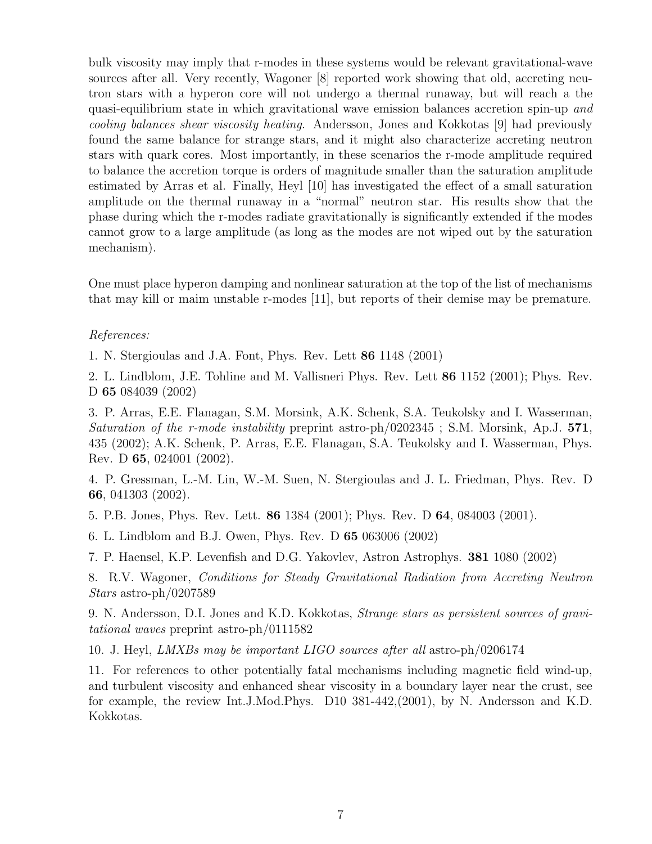bulk viscosity may imply that r-modes in these systems would be relevant gravitational-wave sources after all. Very recently, Wagoner [8] reported work showing that old, accreting neutron stars with a hyperon core will not undergo a thermal runaway, but will reach a the quasi-equilibrium state in which gravitational wave emission balances accretion spin-up and cooling balances shear viscosity heating. Andersson, Jones and Kokkotas [9] had previously found the same balance for strange stars, and it might also characterize accreting neutron stars with quark cores. Most importantly, in these scenarios the r-mode amplitude required to balance the accretion torque is orders of magnitude smaller than the saturation amplitude estimated by Arras et al. Finally, Heyl [10] has investigated the effect of a small saturation amplitude on the thermal runaway in a "normal" neutron star. His results show that the phase during which the r-modes radiate gravitationally is significantly extended if the modes cannot grow to a large amplitude (as long as the modes are not wiped out by the saturation mechanism).

One must place hyperon damping and nonlinear saturation at the top of the list of mechanisms that may kill or maim unstable r-modes [11], but reports of their demise may be premature.

#### References:

1. N. Stergioulas and J.A. Font, Phys. Rev. Lett 86 1148 (2001)

2. L. Lindblom, J.E. Tohline and M. Vallisneri Phys. Rev. Lett 86 1152 (2001); Phys. Rev. D 65 084039 (2002)

3. P. Arras, E.E. Flanagan, S.M. Morsink, A.K. Schenk, S.A. Teukolsky and I. Wasserman, Saturation of the r-mode instability preprint astro-ph/0202345; S.M. Morsink, Ap.J. 571, 435 (2002); A.K. Schenk, P. Arras, E.E. Flanagan, S.A. Teukolsky and I. Wasserman, Phys. Rev. D 65, 024001 (2002).

4. P. Gressman, L.-M. Lin, W.-M. Suen, N. Stergioulas and J. L. Friedman, Phys. Rev. D 66, 041303 (2002).

5. P.B. Jones, Phys. Rev. Lett. 86 1384 (2001); Phys. Rev. D 64, 084003 (2001).

6. L. Lindblom and B.J. Owen, Phys. Rev. D 65 063006 (2002)

7. P. Haensel, K.P. Levenfish and D.G. Yakovlev, Astron Astrophys. 381 1080 (2002)

8. R.V. Wagoner, Conditions for Steady Gravitational Radiation from Accreting Neutron Stars astro-ph/0207589

9. N. Andersson, D.I. Jones and K.D. Kokkotas, Strange stars as persistent sources of gravitational waves preprint astro-ph/0111582

10. J. Heyl, LMXBs may be important LIGO sources after all astro-ph/0206174

11. For references to other potentially fatal mechanisms including magnetic field wind-up, and turbulent viscosity and enhanced shear viscosity in a boundary layer near the crust, see for example, the review Int.J.Mod.Phys. D10 381-442,(2001), by N. Andersson and K.D. Kokkotas.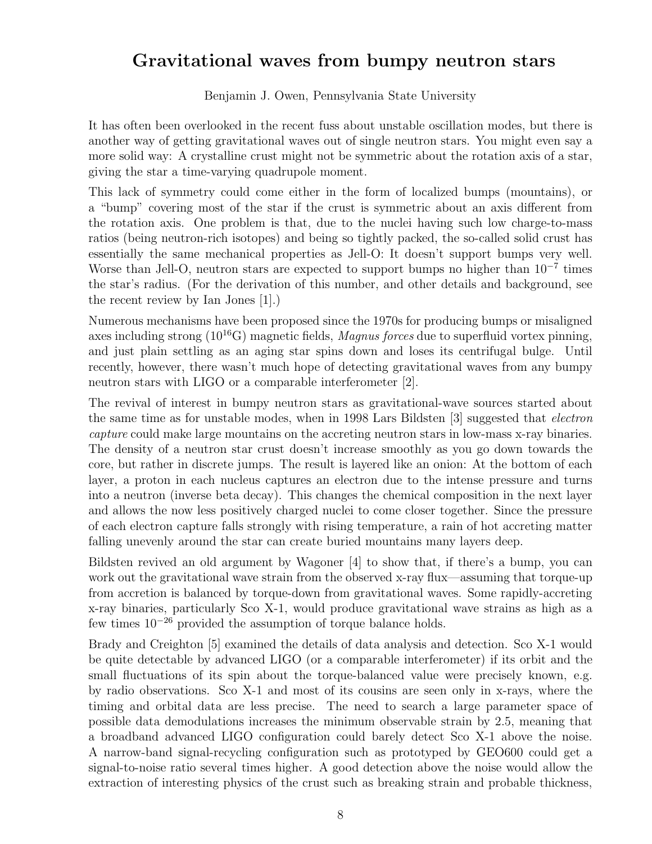### Gravitational waves from bumpy neutron stars

Benjamin J. Owen, Pennsylvania State University

It has often been overlooked in the recent fuss about unstable oscillation modes, but there is another way of getting gravitational waves out of single neutron stars. You might even say a more solid way: A crystalline crust might not be symmetric about the rotation axis of a star, giving the star a time-varying quadrupole moment.

This lack of symmetry could come either in the form of localized bumps (mountains), or a "bump" covering most of the star if the crust is symmetric about an axis different from the rotation axis. One problem is that, due to the nuclei having such low charge-to-mass ratios (being neutron-rich isotopes) and being so tightly packed, the so-called solid crust has essentially the same mechanical properties as Jell-O: It doesn't support bumps very well. Worse than Jell-O, neutron stars are expected to support bumps no higher than  $10^{-7}$  times the star's radius. (For the derivation of this number, and other details and background, see the recent review by Ian Jones [1].)

Numerous mechanisms have been proposed since the 1970s for producing bumps or misaligned axes including strong  $(10^{16}G)$  magnetic fields, *Magnus forces* due to superfluid vortex pinning, and just plain settling as an aging star spins down and loses its centrifugal bulge. Until recently, however, there wasn't much hope of detecting gravitational waves from any bumpy neutron stars with LIGO or a comparable interferometer [2].

The revival of interest in bumpy neutron stars as gravitational-wave sources started about the same time as for unstable modes, when in 1998 Lars Bildsten [3] suggested that electron capture could make large mountains on the accreting neutron stars in low-mass x-ray binaries. The density of a neutron star crust doesn't increase smoothly as you go down towards the core, but rather in discrete jumps. The result is layered like an onion: At the bottom of each layer, a proton in each nucleus captures an electron due to the intense pressure and turns into a neutron (inverse beta decay). This changes the chemical composition in the next layer and allows the now less positively charged nuclei to come closer together. Since the pressure of each electron capture falls strongly with rising temperature, a rain of hot accreting matter falling unevenly around the star can create buried mountains many layers deep.

Bildsten revived an old argument by Wagoner [4] to show that, if there's a bump, you can work out the gravitational wave strain from the observed x-ray flux—assuming that torque-up from accretion is balanced by torque-down from gravitational waves. Some rapidly-accreting x-ray binaries, particularly Sco X-1, would produce gravitational wave strains as high as a few times 10<sup>−</sup><sup>26</sup> provided the assumption of torque balance holds.

Brady and Creighton [5] examined the details of data analysis and detection. Sco X-1 would be quite detectable by advanced LIGO (or a comparable interferometer) if its orbit and the small fluctuations of its spin about the torque-balanced value were precisely known, e.g. by radio observations. Sco X-1 and most of its cousins are seen only in x-rays, where the timing and orbital data are less precise. The need to search a large parameter space of possible data demodulations increases the minimum observable strain by 2.5, meaning that a broadband advanced LIGO configuration could barely detect Sco X-1 above the noise. A narrow-band signal-recycling configuration such as prototyped by GEO600 could get a signal-to-noise ratio several times higher. A good detection above the noise would allow the extraction of interesting physics of the crust such as breaking strain and probable thickness,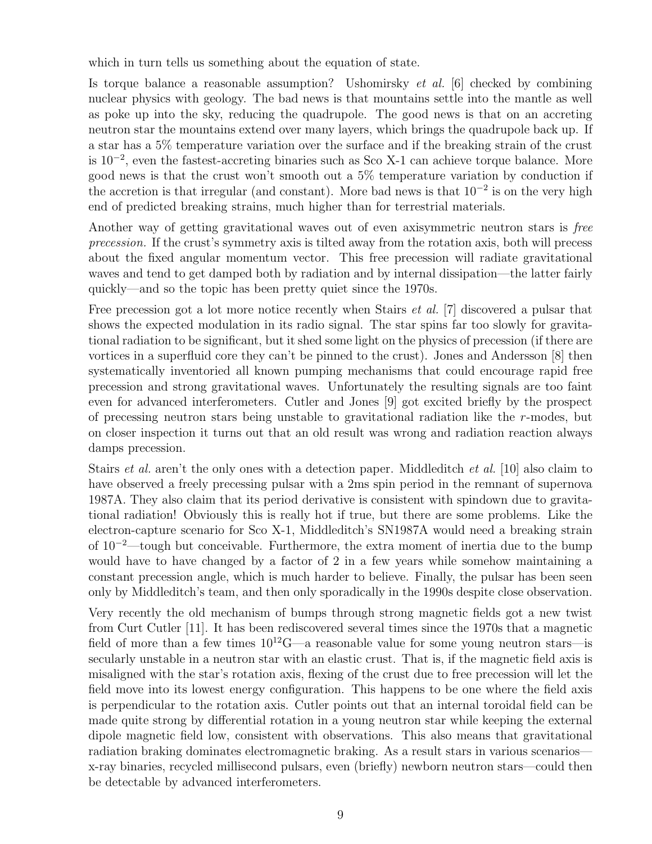which in turn tells us something about the equation of state.

Is torque balance a reasonable assumption? Ushomirsky et al. [6] checked by combining nuclear physics with geology. The bad news is that mountains settle into the mantle as well as poke up into the sky, reducing the quadrupole. The good news is that on an accreting neutron star the mountains extend over many layers, which brings the quadrupole back up. If a star has a 5% temperature variation over the surface and if the breaking strain of the crust is 10<sup>−</sup><sup>2</sup> , even the fastest-accreting binaries such as Sco X-1 can achieve torque balance. More good news is that the crust won't smooth out a 5% temperature variation by conduction if the accretion is that irregular (and constant). More bad news is that  $10^{-2}$  is on the very high end of predicted breaking strains, much higher than for terrestrial materials.

Another way of getting gravitational waves out of even axisymmetric neutron stars is free precession. If the crust's symmetry axis is tilted away from the rotation axis, both will precess about the fixed angular momentum vector. This free precession will radiate gravitational waves and tend to get damped both by radiation and by internal dissipation—the latter fairly quickly—and so the topic has been pretty quiet since the 1970s.

Free precession got a lot more notice recently when Stairs *et al.* [7] discovered a pulsar that shows the expected modulation in its radio signal. The star spins far too slowly for gravitational radiation to be significant, but it shed some light on the physics of precession (if there are vortices in a superfluid core they can't be pinned to the crust). Jones and Andersson [8] then systematically inventoried all known pumping mechanisms that could encourage rapid free precession and strong gravitational waves. Unfortunately the resulting signals are too faint even for advanced interferometers. Cutler and Jones [9] got excited briefly by the prospect of precessing neutron stars being unstable to gravitational radiation like the r-modes, but on closer inspection it turns out that an old result was wrong and radiation reaction always damps precession.

Stairs *et al.* aren't the only ones with a detection paper. Middleditch *et al.* [10] also claim to have observed a freely precessing pulsar with a 2ms spin period in the remnant of supernova 1987A. They also claim that its period derivative is consistent with spindown due to gravitational radiation! Obviously this is really hot if true, but there are some problems. Like the electron-capture scenario for Sco X-1, Middleditch's SN1987A would need a breaking strain of  $10^{-2}$ —tough but conceivable. Furthermore, the extra moment of inertia due to the bump would have to have changed by a factor of 2 in a few years while somehow maintaining a constant precession angle, which is much harder to believe. Finally, the pulsar has been seen only by Middleditch's team, and then only sporadically in the 1990s despite close observation.

Very recently the old mechanism of bumps through strong magnetic fields got a new twist from Curt Cutler [11]. It has been rediscovered several times since the 1970s that a magnetic field of more than a few times  $10^{12}$ G—a reasonable value for some young neutron stars—is secularly unstable in a neutron star with an elastic crust. That is, if the magnetic field axis is misaligned with the star's rotation axis, flexing of the crust due to free precession will let the field move into its lowest energy configuration. This happens to be one where the field axis is perpendicular to the rotation axis. Cutler points out that an internal toroidal field can be made quite strong by differential rotation in a young neutron star while keeping the external dipole magnetic field low, consistent with observations. This also means that gravitational radiation braking dominates electromagnetic braking. As a result stars in various scenarios x-ray binaries, recycled millisecond pulsars, even (briefly) newborn neutron stars—could then be detectable by advanced interferometers.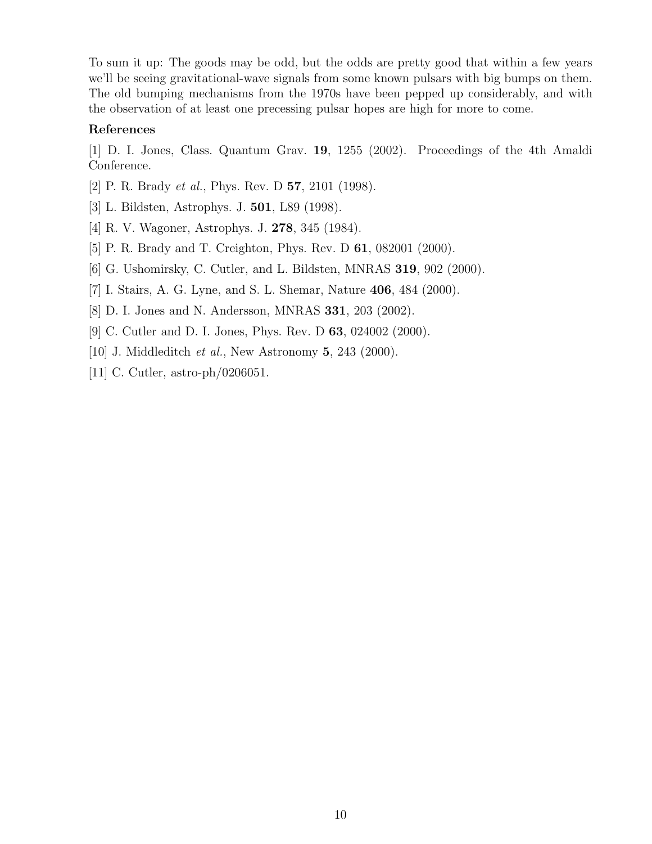To sum it up: The goods may be odd, but the odds are pretty good that within a few years we'll be seeing gravitational-wave signals from some known pulsars with big bumps on them. The old bumping mechanisms from the 1970s have been pepped up considerably, and with the observation of at least one precessing pulsar hopes are high for more to come.

#### References

[1] D. I. Jones, Class. Quantum Grav. 19, 1255 (2002). Proceedings of the 4th Amaldi Conference.

- [2] P. R. Brady et al., Phys. Rev. D 57, 2101 (1998).
- [3] L. Bildsten, Astrophys. J. 501, L89 (1998).
- [4] R. V. Wagoner, Astrophys. J. 278, 345 (1984).
- [5] P. R. Brady and T. Creighton, Phys. Rev. D 61, 082001 (2000).
- [6] G. Ushomirsky, C. Cutler, and L. Bildsten, MNRAS 319, 902 (2000).
- [7] I. Stairs, A. G. Lyne, and S. L. Shemar, Nature 406, 484 (2000).
- [8] D. I. Jones and N. Andersson, MNRAS 331, 203 (2002).
- [9] C. Cutler and D. I. Jones, Phys. Rev. D 63, 024002 (2000).
- [10] J. Middleditch *et al.*, New Astronomy **5**, 243 (2000).
- [11] C. Cutler, astro-ph/0206051.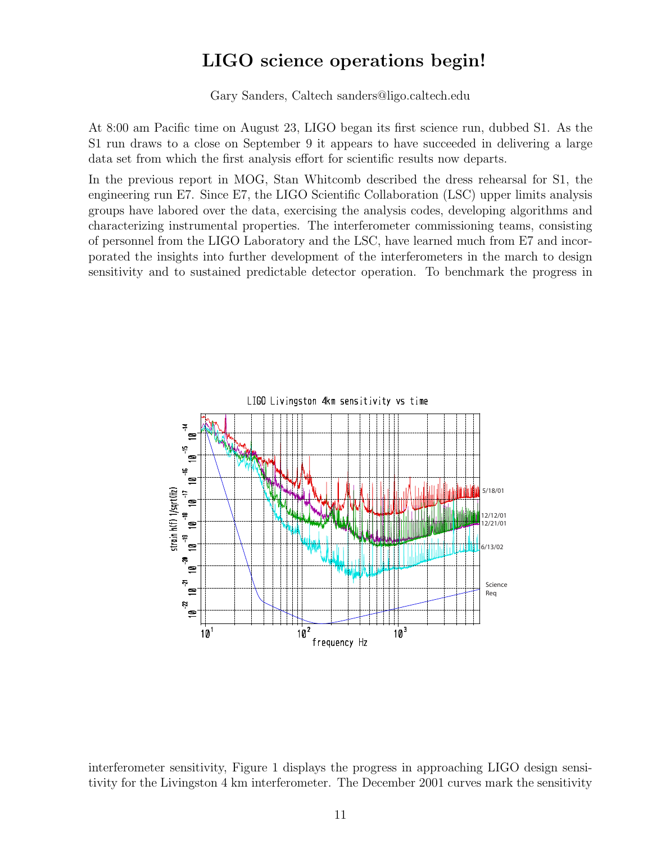# LIGO science operations begin!

Gary Sanders, Caltech sanders@ligo.caltech.edu

At 8:00 am Pacific time on August 23, LIGO began its first science run, dubbed S1. As the S1 run draws to a close on September 9 it appears to have succeeded in delivering a large data set from which the first analysis effort for scientific results now departs.

In the previous report in MOG, Stan Whitcomb described the dress rehearsal for S1, the engineering run E7. Since E7, the LIGO Scientific Collaboration (LSC) upper limits analysis groups have labored over the data, exercising the analysis codes, developing algorithms and characterizing instrumental properties. The interferometer commissioning teams, consisting of personnel from the LIGO Laboratory and the LSC, have learned much from E7 and incorporated the insights into further development of the interferometers in the march to design sensitivity and to sustained predictable detector operation. To benchmark the progress in



interferometer sensitivity, Figure 1 displays the progress in approaching LIGO design sensitivity for the Livingston 4 km interferometer. The December 2001 curves mark the sensitivity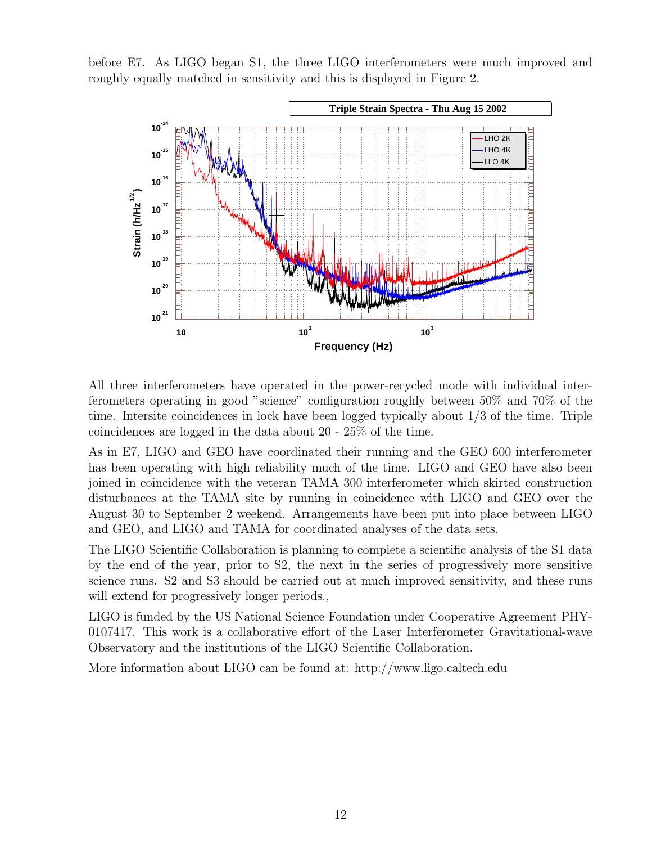before E7. As LIGO began S1, the three LIGO interferometers were much improved and roughly equally matched in sensitivity and this is displayed in Figure 2.



All three interferometers have operated in the power-recycled mode with individual interferometers operating in good "science" configuration roughly between 50% and 70% of the time. Intersite coincidences in lock have been logged typically about 1/3 of the time. Triple coincidences are logged in the data about 20 - 25% of the time.

As in E7, LIGO and GEO have coordinated their running and the GEO 600 interferometer has been operating with high reliability much of the time. LIGO and GEO have also been joined in coincidence with the veteran TAMA 300 interferometer which skirted construction disturbances at the TAMA site by running in coincidence with LIGO and GEO over the August 30 to September 2 weekend. Arrangements have been put into place between LIGO and GEO, and LIGO and TAMA for coordinated analyses of the data sets.

The LIGO Scientific Collaboration is planning to complete a scientific analysis of the S1 data by the end of the year, prior to S2, the next in the series of progressively more sensitive science runs. S2 and S3 should be carried out at much improved sensitivity, and these runs will extend for progressively longer periods.,

LIGO is funded by the US National Science Foundation under Cooperative Agreement PHY-0107417. This work is a collaborative effort of the Laser Interferometer Gravitational-wave Observatory and the institutions of the LIGO Scientific Collaboration.

More information about LIGO can be found at: http://www.ligo.caltech.edu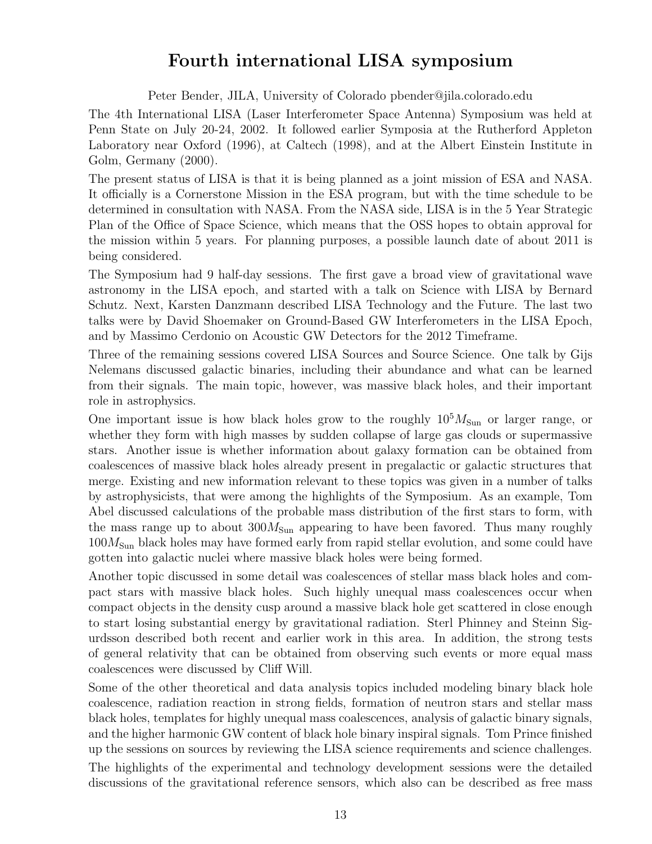### Fourth international LISA symposium

Peter Bender, JILA, University of Colorado pbender@jila.colorado.edu

The 4th International LISA (Laser Interferometer Space Antenna) Symposium was held at Penn State on July 20-24, 2002. It followed earlier Symposia at the Rutherford Appleton Laboratory near Oxford (1996), at Caltech (1998), and at the Albert Einstein Institute in Golm, Germany (2000).

The present status of LISA is that it is being planned as a joint mission of ESA and NASA. It officially is a Cornerstone Mission in the ESA program, but with the time schedule to be determined in consultation with NASA. From the NASA side, LISA is in the 5 Year Strategic Plan of the Office of Space Science, which means that the OSS hopes to obtain approval for the mission within 5 years. For planning purposes, a possible launch date of about 2011 is being considered.

The Symposium had 9 half-day sessions. The first gave a broad view of gravitational wave astronomy in the LISA epoch, and started with a talk on Science with LISA by Bernard Schutz. Next, Karsten Danzmann described LISA Technology and the Future. The last two talks were by David Shoemaker on Ground-Based GW Interferometers in the LISA Epoch, and by Massimo Cerdonio on Acoustic GW Detectors for the 2012 Timeframe.

Three of the remaining sessions covered LISA Sources and Source Science. One talk by Gijs Nelemans discussed galactic binaries, including their abundance and what can be learned from their signals. The main topic, however, was massive black holes, and their important role in astrophysics.

One important issue is how black holes grow to the roughly  $10^5 M_{\text{Sun}}$  or larger range, or whether they form with high masses by sudden collapse of large gas clouds or supermassive stars. Another issue is whether information about galaxy formation can be obtained from coalescences of massive black holes already present in pregalactic or galactic structures that merge. Existing and new information relevant to these topics was given in a number of talks by astrophysicists, that were among the highlights of the Symposium. As an example, Tom Abel discussed calculations of the probable mass distribution of the first stars to form, with the mass range up to about  $300 M_{\text{Sun}}$  appearing to have been favored. Thus many roughly  $100M<sub>Sun</sub>$  black holes may have formed early from rapid stellar evolution, and some could have gotten into galactic nuclei where massive black holes were being formed.

Another topic discussed in some detail was coalescences of stellar mass black holes and compact stars with massive black holes. Such highly unequal mass coalescences occur when compact objects in the density cusp around a massive black hole get scattered in close enough to start losing substantial energy by gravitational radiation. Sterl Phinney and Steinn Sigurdsson described both recent and earlier work in this area. In addition, the strong tests of general relativity that can be obtained from observing such events or more equal mass coalescences were discussed by Cliff Will.

Some of the other theoretical and data analysis topics included modeling binary black hole coalescence, radiation reaction in strong fields, formation of neutron stars and stellar mass black holes, templates for highly unequal mass coalescences, analysis of galactic binary signals, and the higher harmonic GW content of black hole binary inspiral signals. Tom Prince finished up the sessions on sources by reviewing the LISA science requirements and science challenges.

The highlights of the experimental and technology development sessions were the detailed discussions of the gravitational reference sensors, which also can be described as free mass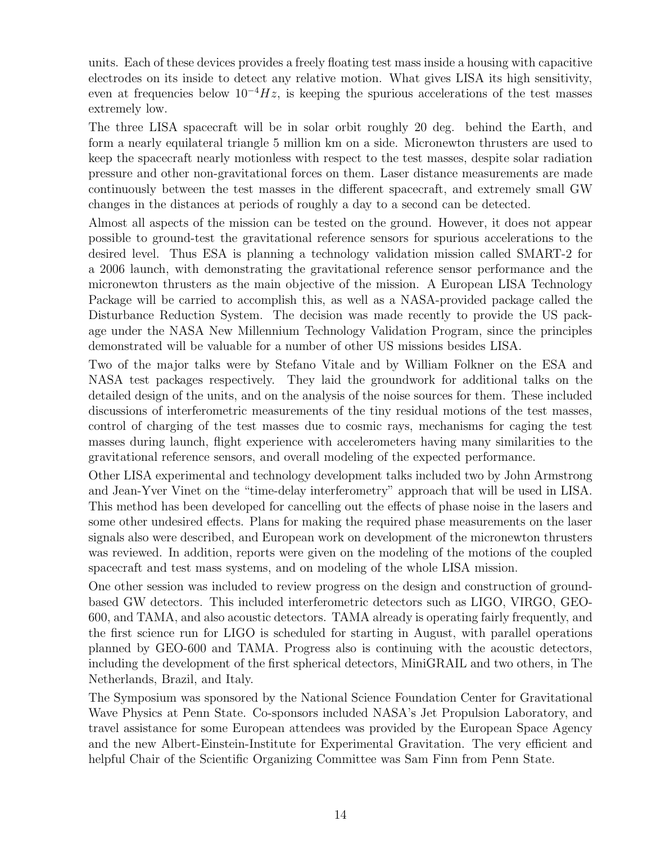units. Each of these devices provides a freely floating test mass inside a housing with capacitive electrodes on its inside to detect any relative motion. What gives LISA its high sensitivity, even at frequencies below  $10^{-4}Hz$ , is keeping the spurious accelerations of the test masses extremely low.

The three LISA spacecraft will be in solar orbit roughly 20 deg. behind the Earth, and form a nearly equilateral triangle 5 million km on a side. Micronewton thrusters are used to keep the spacecraft nearly motionless with respect to the test masses, despite solar radiation pressure and other non-gravitational forces on them. Laser distance measurements are made continuously between the test masses in the different spacecraft, and extremely small GW changes in the distances at periods of roughly a day to a second can be detected.

Almost all aspects of the mission can be tested on the ground. However, it does not appear possible to ground-test the gravitational reference sensors for spurious accelerations to the desired level. Thus ESA is planning a technology validation mission called SMART-2 for a 2006 launch, with demonstrating the gravitational reference sensor performance and the micronewton thrusters as the main objective of the mission. A European LISA Technology Package will be carried to accomplish this, as well as a NASA-provided package called the Disturbance Reduction System. The decision was made recently to provide the US package under the NASA New Millennium Technology Validation Program, since the principles demonstrated will be valuable for a number of other US missions besides LISA.

Two of the major talks were by Stefano Vitale and by William Folkner on the ESA and NASA test packages respectively. They laid the groundwork for additional talks on the detailed design of the units, and on the analysis of the noise sources for them. These included discussions of interferometric measurements of the tiny residual motions of the test masses, control of charging of the test masses due to cosmic rays, mechanisms for caging the test masses during launch, flight experience with accelerometers having many similarities to the gravitational reference sensors, and overall modeling of the expected performance.

Other LISA experimental and technology development talks included two by John Armstrong and Jean-Yver Vinet on the "time-delay interferometry" approach that will be used in LISA. This method has been developed for cancelling out the effects of phase noise in the lasers and some other undesired effects. Plans for making the required phase measurements on the laser signals also were described, and European work on development of the micronewton thrusters was reviewed. In addition, reports were given on the modeling of the motions of the coupled spacecraft and test mass systems, and on modeling of the whole LISA mission.

One other session was included to review progress on the design and construction of groundbased GW detectors. This included interferometric detectors such as LIGO, VIRGO, GEO-600, and TAMA, and also acoustic detectors. TAMA already is operating fairly frequently, and the first science run for LIGO is scheduled for starting in August, with parallel operations planned by GEO-600 and TAMA. Progress also is continuing with the acoustic detectors, including the development of the first spherical detectors, MiniGRAIL and two others, in The Netherlands, Brazil, and Italy.

The Symposium was sponsored by the National Science Foundation Center for Gravitational Wave Physics at Penn State. Co-sponsors included NASA's Jet Propulsion Laboratory, and travel assistance for some European attendees was provided by the European Space Agency and the new Albert-Einstein-Institute for Experimental Gravitation. The very efficient and helpful Chair of the Scientific Organizing Committee was Sam Finn from Penn State.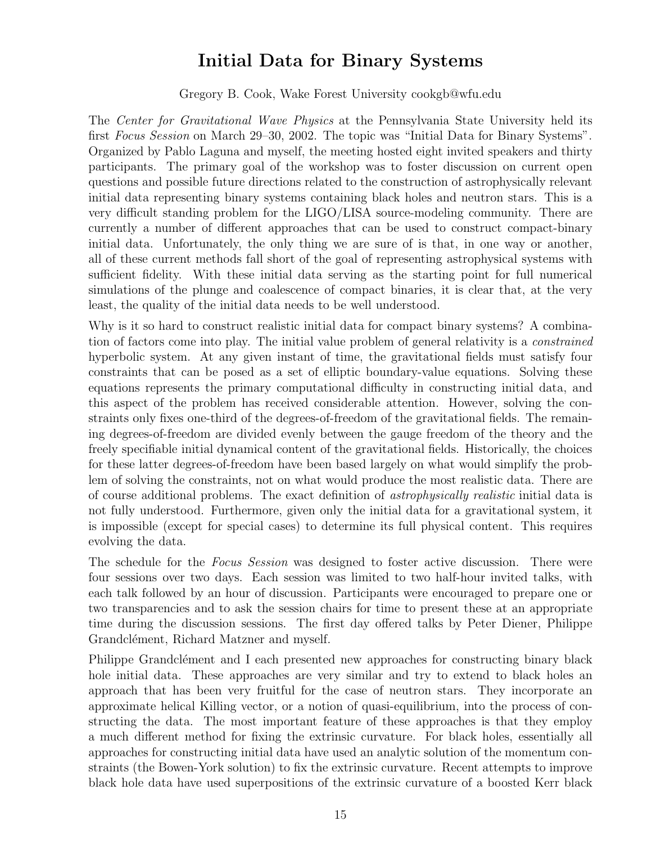### Initial Data for Binary Systems

Gregory B. Cook, Wake Forest University cookgb@wfu.edu

The Center for Gravitational Wave Physics at the Pennsylvania State University held its first Focus Session on March 29–30, 2002. The topic was "Initial Data for Binary Systems". Organized by Pablo Laguna and myself, the meeting hosted eight invited speakers and thirty participants. The primary goal of the workshop was to foster discussion on current open questions and possible future directions related to the construction of astrophysically relevant initial data representing binary systems containing black holes and neutron stars. This is a very difficult standing problem for the LIGO/LISA source-modeling community. There are currently a number of different approaches that can be used to construct compact-binary initial data. Unfortunately, the only thing we are sure of is that, in one way or another, all of these current methods fall short of the goal of representing astrophysical systems with sufficient fidelity. With these initial data serving as the starting point for full numerical simulations of the plunge and coalescence of compact binaries, it is clear that, at the very least, the quality of the initial data needs to be well understood.

Why is it so hard to construct realistic initial data for compact binary systems? A combination of factors come into play. The initial value problem of general relativity is a constrained hyperbolic system. At any given instant of time, the gravitational fields must satisfy four constraints that can be posed as a set of elliptic boundary-value equations. Solving these equations represents the primary computational difficulty in constructing initial data, and this aspect of the problem has received considerable attention. However, solving the constraints only fixes one-third of the degrees-of-freedom of the gravitational fields. The remaining degrees-of-freedom are divided evenly between the gauge freedom of the theory and the freely specifiable initial dynamical content of the gravitational fields. Historically, the choices for these latter degrees-of-freedom have been based largely on what would simplify the problem of solving the constraints, not on what would produce the most realistic data. There are of course additional problems. The exact definition of astrophysically realistic initial data is not fully understood. Furthermore, given only the initial data for a gravitational system, it is impossible (except for special cases) to determine its full physical content. This requires evolving the data.

The schedule for the Focus Session was designed to foster active discussion. There were four sessions over two days. Each session was limited to two half-hour invited talks, with each talk followed by an hour of discussion. Participants were encouraged to prepare one or two transparencies and to ask the session chairs for time to present these at an appropriate time during the discussion sessions. The first day offered talks by Peter Diener, Philippe Grandclément, Richard Matzner and myself.

Philippe Grandclément and I each presented new approaches for constructing binary black hole initial data. These approaches are very similar and try to extend to black holes an approach that has been very fruitful for the case of neutron stars. They incorporate an approximate helical Killing vector, or a notion of quasi-equilibrium, into the process of constructing the data. The most important feature of these approaches is that they employ a much different method for fixing the extrinsic curvature. For black holes, essentially all approaches for constructing initial data have used an analytic solution of the momentum constraints (the Bowen-York solution) to fix the extrinsic curvature. Recent attempts to improve black hole data have used superpositions of the extrinsic curvature of a boosted Kerr black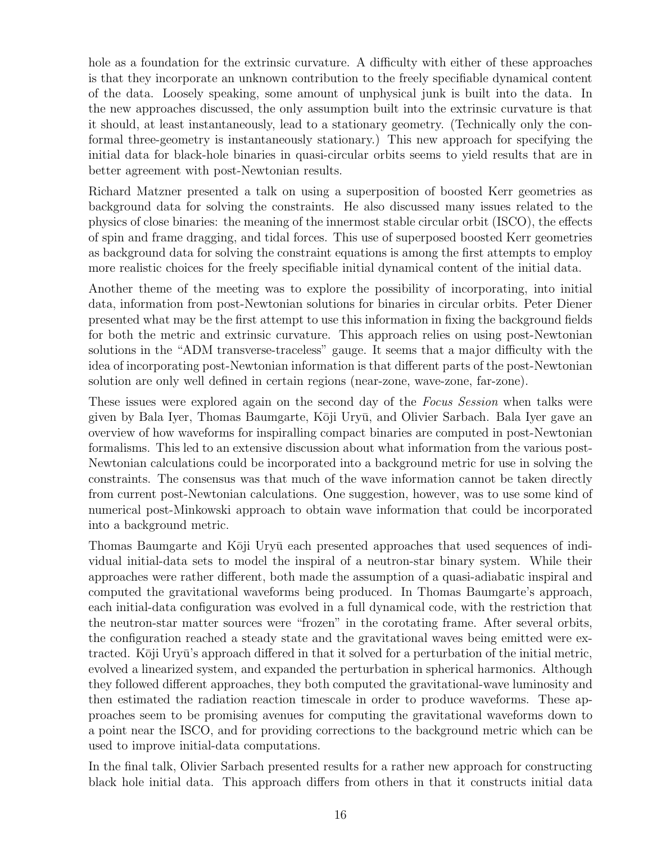hole as a foundation for the extrinsic curvature. A difficulty with either of these approaches is that they incorporate an unknown contribution to the freely specifiable dynamical content of the data. Loosely speaking, some amount of unphysical junk is built into the data. In the new approaches discussed, the only assumption built into the extrinsic curvature is that it should, at least instantaneously, lead to a stationary geometry. (Technically only the conformal three-geometry is instantaneously stationary.) This new approach for specifying the initial data for black-hole binaries in quasi-circular orbits seems to yield results that are in better agreement with post-Newtonian results.

Richard Matzner presented a talk on using a superposition of boosted Kerr geometries as background data for solving the constraints. He also discussed many issues related to the physics of close binaries: the meaning of the innermost stable circular orbit (ISCO), the effects of spin and frame dragging, and tidal forces. This use of superposed boosted Kerr geometries as background data for solving the constraint equations is among the first attempts to employ more realistic choices for the freely specifiable initial dynamical content of the initial data.

Another theme of the meeting was to explore the possibility of incorporating, into initial data, information from post-Newtonian solutions for binaries in circular orbits. Peter Diener presented what may be the first attempt to use this information in fixing the background fields for both the metric and extrinsic curvature. This approach relies on using post-Newtonian solutions in the "ADM transverse-traceless" gauge. It seems that a major difficulty with the idea of incorporating post-Newtonian information is that different parts of the post-Newtonian solution are only well defined in certain regions (near-zone, wave-zone, far-zone).

These issues were explored again on the second day of the Focus Session when talks were given by Bala Iyer, Thomas Baumgarte, Kōji Uryū, and Olivier Sarbach. Bala Iyer gave an overview of how waveforms for inspiralling compact binaries are computed in post-Newtonian formalisms. This led to an extensive discussion about what information from the various post-Newtonian calculations could be incorporated into a background metric for use in solving the constraints. The consensus was that much of the wave information cannot be taken directly from current post-Newtonian calculations. One suggestion, however, was to use some kind of numerical post-Minkowski approach to obtain wave information that could be incorporated into a background metric.

Thomas Baumgarte and Kōji Uryū each presented approaches that used sequences of individual initial-data sets to model the inspiral of a neutron-star binary system. While their approaches were rather different, both made the assumption of a quasi-adiabatic inspiral and computed the gravitational waveforms being produced. In Thomas Baumgarte's approach, each initial-data configuration was evolved in a full dynamical code, with the restriction that the neutron-star matter sources were "frozen" in the corotating frame. After several orbits, the configuration reached a steady state and the gravitational waves being emitted were extracted. Kōji Uryū's approach differed in that it solved for a perturbation of the initial metric, evolved a linearized system, and expanded the perturbation in spherical harmonics. Although they followed different approaches, they both computed the gravitational-wave luminosity and then estimated the radiation reaction timescale in order to produce waveforms. These approaches seem to be promising avenues for computing the gravitational waveforms down to a point near the ISCO, and for providing corrections to the background metric which can be used to improve initial-data computations.

In the final talk, Olivier Sarbach presented results for a rather new approach for constructing black hole initial data. This approach differs from others in that it constructs initial data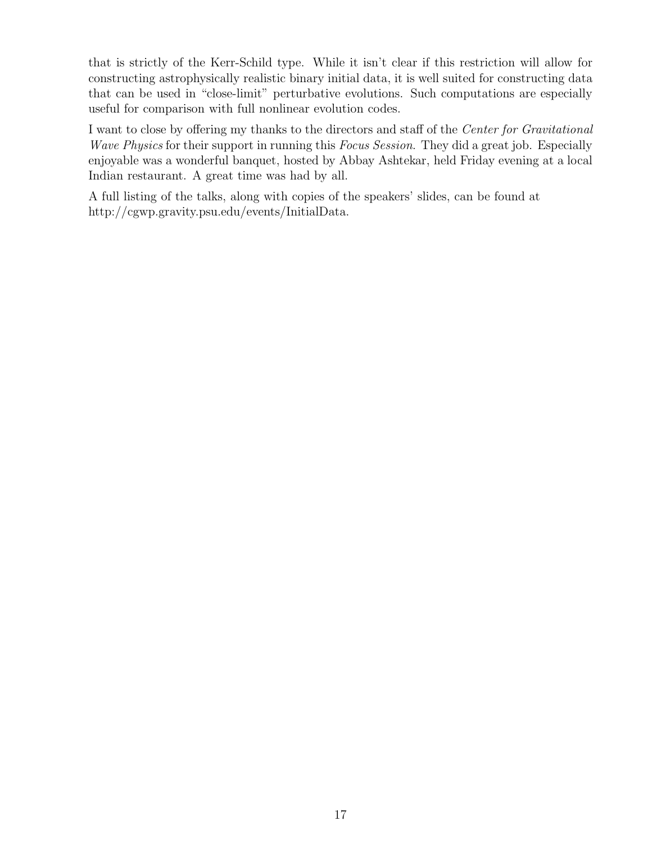that is strictly of the Kerr-Schild type. While it isn't clear if this restriction will allow for constructing astrophysically realistic binary initial data, it is well suited for constructing data that can be used in "close-limit" perturbative evolutions. Such computations are especially useful for comparison with full nonlinear evolution codes.

I want to close by offering my thanks to the directors and staff of the Center for Gravitational Wave Physics for their support in running this Focus Session. They did a great job. Especially enjoyable was a wonderful banquet, hosted by Abbay Ashtekar, held Friday evening at a local Indian restaurant. A great time was had by all.

A full listing of the talks, along with copies of the speakers' slides, can be found at http://cgwp.gravity.psu.edu/events/InitialData.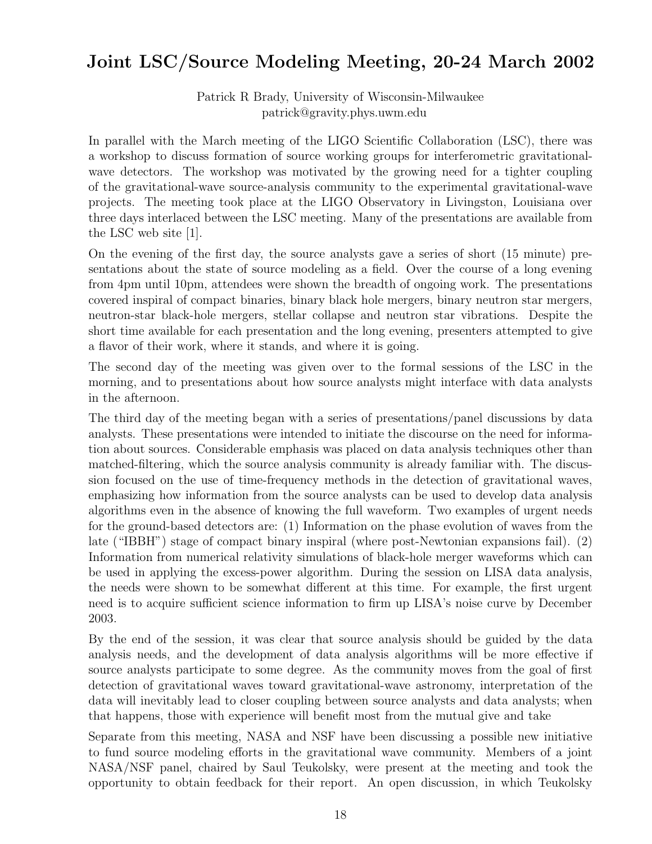## Joint LSC/Source Modeling Meeting, 20-24 March 2002

Patrick R Brady, University of Wisconsin-Milwaukee patrick@gravity.phys.uwm.edu

In parallel with the March meeting of the LIGO Scientific Collaboration (LSC), there was a workshop to discuss formation of source working groups for interferometric gravitationalwave detectors. The workshop was motivated by the growing need for a tighter coupling of the gravitational-wave source-analysis community to the experimental gravitational-wave projects. The meeting took place at the LIGO Observatory in Livingston, Louisiana over three days interlaced between the LSC meeting. Many of the presentations are available from the LSC web site [1].

On the evening of the first day, the source analysts gave a series of short (15 minute) presentations about the state of source modeling as a field. Over the course of a long evening from 4pm until 10pm, attendees were shown the breadth of ongoing work. The presentations covered inspiral of compact binaries, binary black hole mergers, binary neutron star mergers, neutron-star black-hole mergers, stellar collapse and neutron star vibrations. Despite the short time available for each presentation and the long evening, presenters attempted to give a flavor of their work, where it stands, and where it is going.

The second day of the meeting was given over to the formal sessions of the LSC in the morning, and to presentations about how source analysts might interface with data analysts in the afternoon.

The third day of the meeting began with a series of presentations/panel discussions by data analysts. These presentations were intended to initiate the discourse on the need for information about sources. Considerable emphasis was placed on data analysis techniques other than matched-filtering, which the source analysis community is already familiar with. The discussion focused on the use of time-frequency methods in the detection of gravitational waves, emphasizing how information from the source analysts can be used to develop data analysis algorithms even in the absence of knowing the full waveform. Two examples of urgent needs for the ground-based detectors are: (1) Information on the phase evolution of waves from the late ("IBBH") stage of compact binary inspiral (where post-Newtonian expansions fail). (2) Information from numerical relativity simulations of black-hole merger waveforms which can be used in applying the excess-power algorithm. During the session on LISA data analysis, the needs were shown to be somewhat different at this time. For example, the first urgent need is to acquire sufficient science information to firm up LISA's noise curve by December 2003.

By the end of the session, it was clear that source analysis should be guided by the data analysis needs, and the development of data analysis algorithms will be more effective if source analysts participate to some degree. As the community moves from the goal of first detection of gravitational waves toward gravitational-wave astronomy, interpretation of the data will inevitably lead to closer coupling between source analysts and data analysts; when that happens, those with experience will benefit most from the mutual give and take

Separate from this meeting, NASA and NSF have been discussing a possible new initiative to fund source modeling efforts in the gravitational wave community. Members of a joint NASA/NSF panel, chaired by Saul Teukolsky, were present at the meeting and took the opportunity to obtain feedback for their report. An open discussion, in which Teukolsky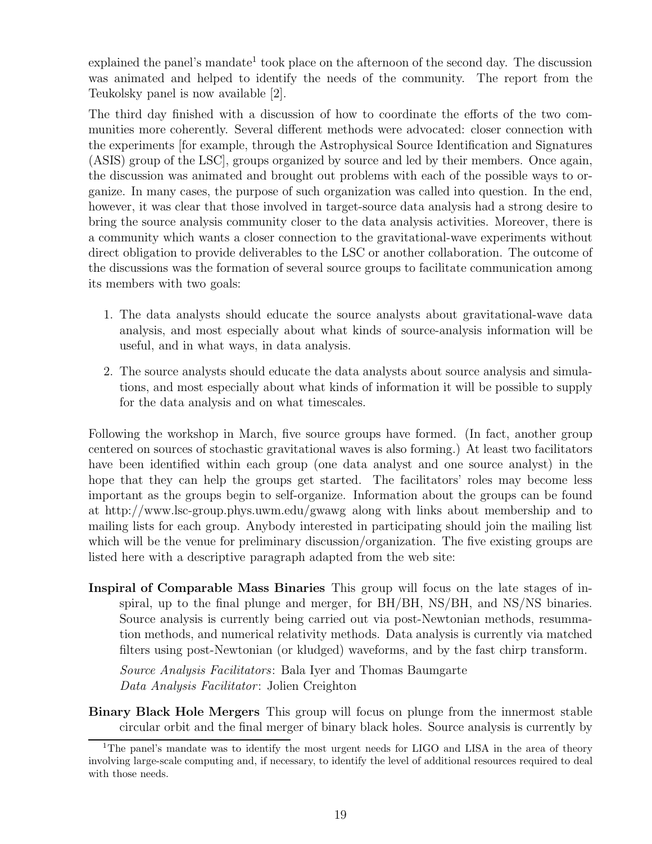explained the panel's mandate<sup>1</sup> took place on the afternoon of the second day. The discussion was animated and helped to identify the needs of the community. The report from the Teukolsky panel is now available [2].

The third day finished with a discussion of how to coordinate the efforts of the two communities more coherently. Several different methods were advocated: closer connection with the experiments [for example, through the Astrophysical Source Identification and Signatures (ASIS) group of the LSC], groups organized by source and led by their members. Once again, the discussion was animated and brought out problems with each of the possible ways to organize. In many cases, the purpose of such organization was called into question. In the end, however, it was clear that those involved in target-source data analysis had a strong desire to bring the source analysis community closer to the data analysis activities. Moreover, there is a community which wants a closer connection to the gravitational-wave experiments without direct obligation to provide deliverables to the LSC or another collaboration. The outcome of the discussions was the formation of several source groups to facilitate communication among its members with two goals:

- 1. The data analysts should educate the source analysts about gravitational-wave data analysis, and most especially about what kinds of source-analysis information will be useful, and in what ways, in data analysis.
- 2. The source analysts should educate the data analysts about source analysis and simulations, and most especially about what kinds of information it will be possible to supply for the data analysis and on what timescales.

Following the workshop in March, five source groups have formed. (In fact, another group centered on sources of stochastic gravitational waves is also forming.) At least two facilitators have been identified within each group (one data analyst and one source analyst) in the hope that they can help the groups get started. The facilitators' roles may become less important as the groups begin to self-organize. Information about the groups can be found at http://www.lsc-group.phys.uwm.edu/gwawg along with links about membership and to mailing lists for each group. Anybody interested in participating should join the mailing list which will be the venue for preliminary discussion/organization. The five existing groups are listed here with a descriptive paragraph adapted from the web site:

Inspiral of Comparable Mass Binaries This group will focus on the late stages of inspiral, up to the final plunge and merger, for BH/BH, NS/BH, and NS/NS binaries. Source analysis is currently being carried out via post-Newtonian methods, resummation methods, and numerical relativity methods. Data analysis is currently via matched filters using post-Newtonian (or kludged) waveforms, and by the fast chirp transform.

Source Analysis Facilitators: Bala Iyer and Thomas Baumgarte Data Analysis Facilitator: Jolien Creighton

Binary Black Hole Mergers This group will focus on plunge from the innermost stable circular orbit and the final merger of binary black holes. Source analysis is currently by

<sup>&</sup>lt;sup>1</sup>The panel's mandate was to identify the most urgent needs for LIGO and LISA in the area of theory involving large-scale computing and, if necessary, to identify the level of additional resources required to deal with those needs.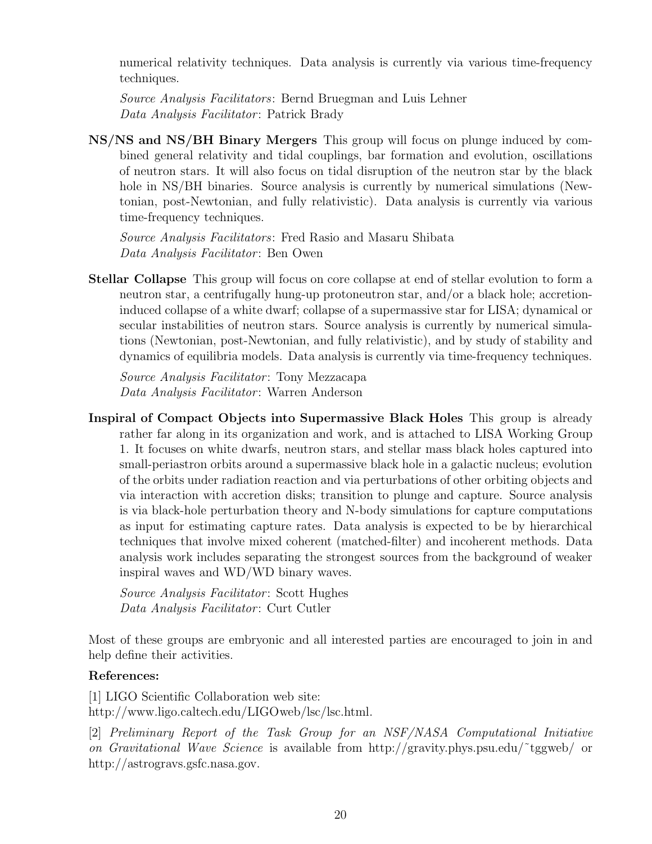numerical relativity techniques. Data analysis is currently via various time-frequency techniques.

Source Analysis Facilitators: Bernd Bruegman and Luis Lehner Data Analysis Facilitator: Patrick Brady

NS/NS and NS/BH Binary Mergers This group will focus on plunge induced by combined general relativity and tidal couplings, bar formation and evolution, oscillations of neutron stars. It will also focus on tidal disruption of the neutron star by the black hole in NS/BH binaries. Source analysis is currently by numerical simulations (Newtonian, post-Newtonian, and fully relativistic). Data analysis is currently via various time-frequency techniques.

Source Analysis Facilitators: Fred Rasio and Masaru Shibata Data Analysis Facilitator: Ben Owen

Stellar Collapse This group will focus on core collapse at end of stellar evolution to form a neutron star, a centrifugally hung-up protoneutron star, and/or a black hole; accretioninduced collapse of a white dwarf; collapse of a supermassive star for LISA; dynamical or secular instabilities of neutron stars. Source analysis is currently by numerical simulations (Newtonian, post-Newtonian, and fully relativistic), and by study of stability and dynamics of equilibria models. Data analysis is currently via time-frequency techniques.

Source Analysis Facilitator: Tony Mezzacapa Data Analysis Facilitator: Warren Anderson

Inspiral of Compact Objects into Supermassive Black Holes This group is already rather far along in its organization and work, and is attached to LISA Working Group 1. It focuses on white dwarfs, neutron stars, and stellar mass black holes captured into small-periastron orbits around a supermassive black hole in a galactic nucleus; evolution of the orbits under radiation reaction and via perturbations of other orbiting objects and via interaction with accretion disks; transition to plunge and capture. Source analysis is via black-hole perturbation theory and N-body simulations for capture computations as input for estimating capture rates. Data analysis is expected to be by hierarchical techniques that involve mixed coherent (matched-filter) and incoherent methods. Data analysis work includes separating the strongest sources from the background of weaker inspiral waves and WD/WD binary waves.

Source Analysis Facilitator: Scott Hughes Data Analysis Facilitator: Curt Cutler

Most of these groups are embryonic and all interested parties are encouraged to join in and help define their activities.

#### References:

[1] LIGO Scientific Collaboration web site: http://www.ligo.caltech.edu/LIGOweb/lsc/lsc.html.

[2] Preliminary Report of the Task Group for an NSF/NASA Computational Initiative on Gravitational Wave Science is available from http://gravity.phys.psu.edu/˜tggweb/ or http://astrogravs.gsfc.nasa.gov.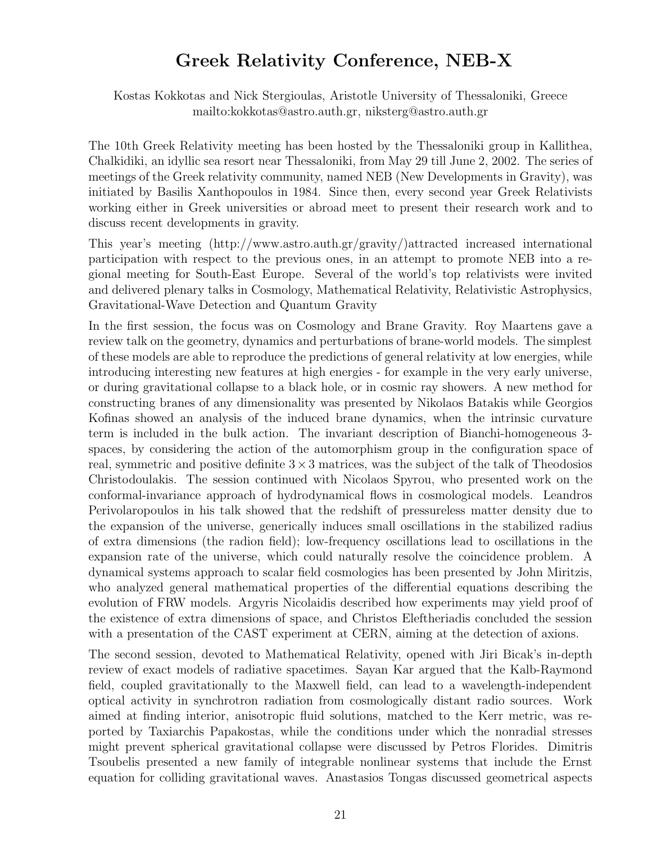## Greek Relativity Conference, NEB-X

Kostas Kokkotas and Nick Stergioulas, Aristotle University of Thessaloniki, Greece mailto:kokkotas@astro.auth.gr, niksterg@astro.auth.gr

The 10th Greek Relativity meeting has been hosted by the Thessaloniki group in Kallithea, Chalkidiki, an idyllic sea resort near Thessaloniki, from May 29 till June 2, 2002. The series of meetings of the Greek relativity community, named NEB (New Developments in Gravity), was initiated by Basilis Xanthopoulos in 1984. Since then, every second year Greek Relativists working either in Greek universities or abroad meet to present their research work and to discuss recent developments in gravity.

This year's meeting (http://www.astro.auth.gr/gravity/)attracted increased international participation with respect to the previous ones, in an attempt to promote NEB into a regional meeting for South-East Europe. Several of the world's top relativists were invited and delivered plenary talks in Cosmology, Mathematical Relativity, Relativistic Astrophysics, Gravitational-Wave Detection and Quantum Gravity

In the first session, the focus was on Cosmology and Brane Gravity. Roy Maartens gave a review talk on the geometry, dynamics and perturbations of brane-world models. The simplest of these models are able to reproduce the predictions of general relativity at low energies, while introducing interesting new features at high energies - for example in the very early universe, or during gravitational collapse to a black hole, or in cosmic ray showers. A new method for constructing branes of any dimensionality was presented by Nikolaos Batakis while Georgios Kofinas showed an analysis of the induced brane dynamics, when the intrinsic curvature term is included in the bulk action. The invariant description of Bianchi-homogeneous 3 spaces, by considering the action of the automorphism group in the configuration space of real, symmetric and positive definite  $3 \times 3$  matrices, was the subject of the talk of Theodosios Christodoulakis. The session continued with Nicolaos Spyrou, who presented work on the conformal-invariance approach of hydrodynamical flows in cosmological models. Leandros Perivolaropoulos in his talk showed that the redshift of pressureless matter density due to the expansion of the universe, generically induces small oscillations in the stabilized radius of extra dimensions (the radion field); low-frequency oscillations lead to oscillations in the expansion rate of the universe, which could naturally resolve the coincidence problem. A dynamical systems approach to scalar field cosmologies has been presented by John Miritzis, who analyzed general mathematical properties of the differential equations describing the evolution of FRW models. Argyris Nicolaidis described how experiments may yield proof of the existence of extra dimensions of space, and Christos Eleftheriadis concluded the session with a presentation of the CAST experiment at CERN, aiming at the detection of axions.

The second session, devoted to Mathematical Relativity, opened with Jiri Bicak's in-depth review of exact models of radiative spacetimes. Sayan Kar argued that the Kalb-Raymond field, coupled gravitationally to the Maxwell field, can lead to a wavelength-independent optical activity in synchrotron radiation from cosmologically distant radio sources. Work aimed at finding interior, anisotropic fluid solutions, matched to the Kerr metric, was reported by Taxiarchis Papakostas, while the conditions under which the nonradial stresses might prevent spherical gravitational collapse were discussed by Petros Florides. Dimitris Tsoubelis presented a new family of integrable nonlinear systems that include the Ernst equation for colliding gravitational waves. Anastasios Tongas discussed geometrical aspects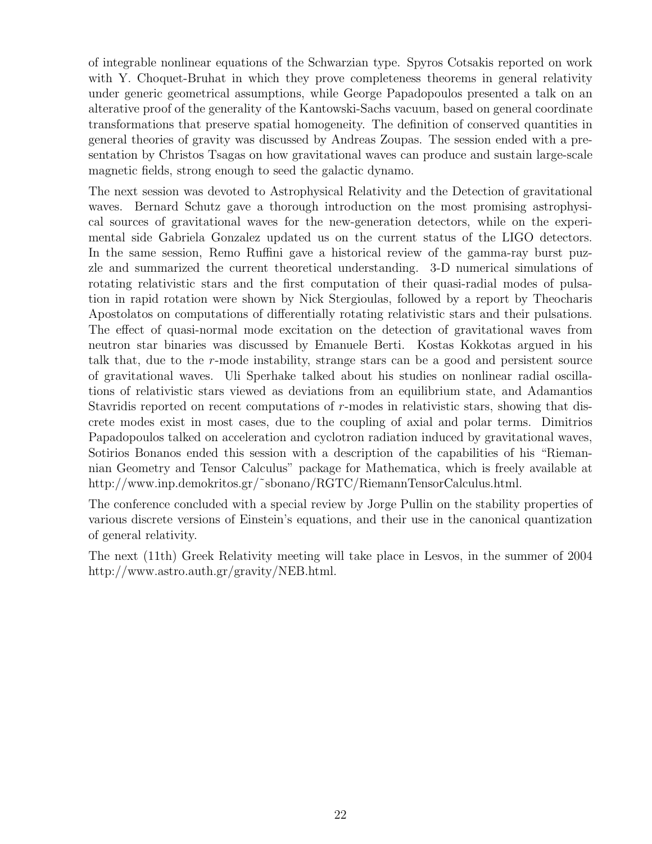of integrable nonlinear equations of the Schwarzian type. Spyros Cotsakis reported on work with Y. Choquet-Bruhat in which they prove completeness theorems in general relativity under generic geometrical assumptions, while George Papadopoulos presented a talk on an alterative proof of the generality of the Kantowski-Sachs vacuum, based on general coordinate transformations that preserve spatial homogeneity. The definition of conserved quantities in general theories of gravity was discussed by Andreas Zoupas. The session ended with a presentation by Christos Tsagas on how gravitational waves can produce and sustain large-scale magnetic fields, strong enough to seed the galactic dynamo.

The next session was devoted to Astrophysical Relativity and the Detection of gravitational waves. Bernard Schutz gave a thorough introduction on the most promising astrophysical sources of gravitational waves for the new-generation detectors, while on the experimental side Gabriela Gonzalez updated us on the current status of the LIGO detectors. In the same session, Remo Ruffini gave a historical review of the gamma-ray burst puzzle and summarized the current theoretical understanding. 3-D numerical simulations of rotating relativistic stars and the first computation of their quasi-radial modes of pulsation in rapid rotation were shown by Nick Stergioulas, followed by a report by Theocharis Apostolatos on computations of differentially rotating relativistic stars and their pulsations. The effect of quasi-normal mode excitation on the detection of gravitational waves from neutron star binaries was discussed by Emanuele Berti. Kostas Kokkotas argued in his talk that, due to the r-mode instability, strange stars can be a good and persistent source of gravitational waves. Uli Sperhake talked about his studies on nonlinear radial oscillations of relativistic stars viewed as deviations from an equilibrium state, and Adamantios Stavridis reported on recent computations of r-modes in relativistic stars, showing that discrete modes exist in most cases, due to the coupling of axial and polar terms. Dimitrios Papadopoulos talked on acceleration and cyclotron radiation induced by gravitational waves, Sotirios Bonanos ended this session with a description of the capabilities of his "Riemannian Geometry and Tensor Calculus" package for Mathematica, which is freely available at http://www.inp.demokritos.gr/˜sbonano/RGTC/RiemannTensorCalculus.html.

The conference concluded with a special review by Jorge Pullin on the stability properties of various discrete versions of Einstein's equations, and their use in the canonical quantization of general relativity.

The next (11th) Greek Relativity meeting will take place in Lesvos, in the summer of 2004 http://www.astro.auth.gr/gravity/NEB.html.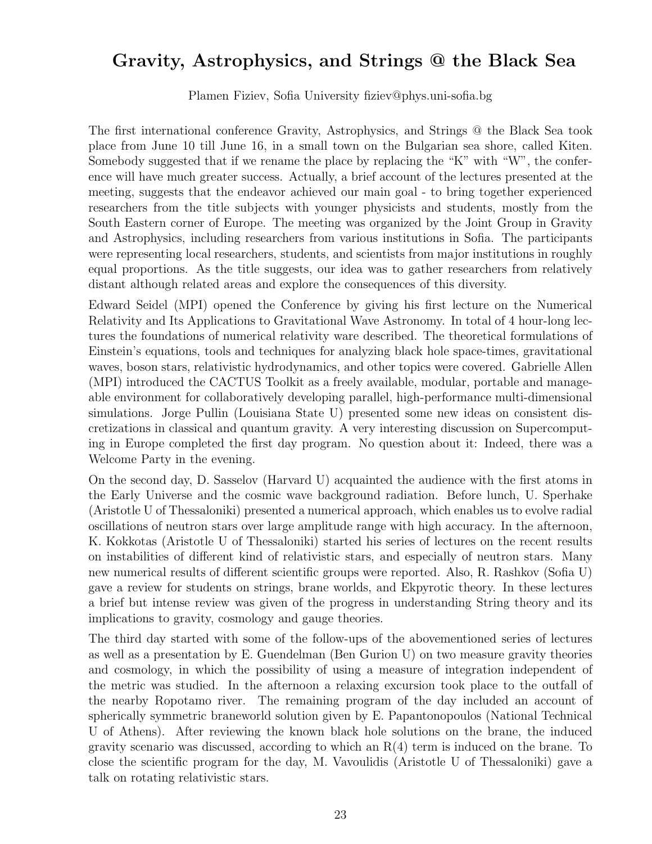### Gravity, Astrophysics, and Strings @ the Black Sea

Plamen Fiziev, Sofia University fiziev@phys.uni-sofia.bg

The first international conference Gravity, Astrophysics, and Strings @ the Black Sea took place from June 10 till June 16, in a small town on the Bulgarian sea shore, called Kiten. Somebody suggested that if we rename the place by replacing the "K" with "W", the conference will have much greater success. Actually, a brief account of the lectures presented at the meeting, suggests that the endeavor achieved our main goal - to bring together experienced researchers from the title subjects with younger physicists and students, mostly from the South Eastern corner of Europe. The meeting was organized by the Joint Group in Gravity and Astrophysics, including researchers from various institutions in Sofia. The participants were representing local researchers, students, and scientists from major institutions in roughly equal proportions. As the title suggests, our idea was to gather researchers from relatively distant although related areas and explore the consequences of this diversity.

Edward Seidel (MPI) opened the Conference by giving his first lecture on the Numerical Relativity and Its Applications to Gravitational Wave Astronomy. In total of 4 hour-long lectures the foundations of numerical relativity ware described. The theoretical formulations of Einstein's equations, tools and techniques for analyzing black hole space-times, gravitational waves, boson stars, relativistic hydrodynamics, and other topics were covered. Gabrielle Allen (MPI) introduced the CACTUS Toolkit as a freely available, modular, portable and manageable environment for collaboratively developing parallel, high-performance multi-dimensional simulations. Jorge Pullin (Louisiana State U) presented some new ideas on consistent discretizations in classical and quantum gravity. A very interesting discussion on Supercomputing in Europe completed the first day program. No question about it: Indeed, there was a Welcome Party in the evening.

On the second day, D. Sasselov (Harvard U) acquainted the audience with the first atoms in the Early Universe and the cosmic wave background radiation. Before lunch, U. Sperhake (Aristotle U of Thessaloniki) presented a numerical approach, which enables us to evolve radial oscillations of neutron stars over large amplitude range with high accuracy. In the afternoon, K. Kokkotas (Aristotle U of Thessaloniki) started his series of lectures on the recent results on instabilities of different kind of relativistic stars, and especially of neutron stars. Many new numerical results of different scientific groups were reported. Also, R. Rashkov (Sofia U) gave a review for students on strings, brane worlds, and Ekpyrotic theory. In these lectures a brief but intense review was given of the progress in understanding String theory and its implications to gravity, cosmology and gauge theories.

The third day started with some of the follow-ups of the abovementioned series of lectures as well as a presentation by E. Guendelman (Ben Gurion U) on two measure gravity theories and cosmology, in which the possibility of using a measure of integration independent of the metric was studied. In the afternoon a relaxing excursion took place to the outfall of the nearby Ropotamo river. The remaining program of the day included an account of spherically symmetric braneworld solution given by E. Papantonopoulos (National Technical U of Athens). After reviewing the known black hole solutions on the brane, the induced gravity scenario was discussed, according to which an R(4) term is induced on the brane. To close the scientific program for the day, M. Vavoulidis (Aristotle U of Thessaloniki) gave a talk on rotating relativistic stars.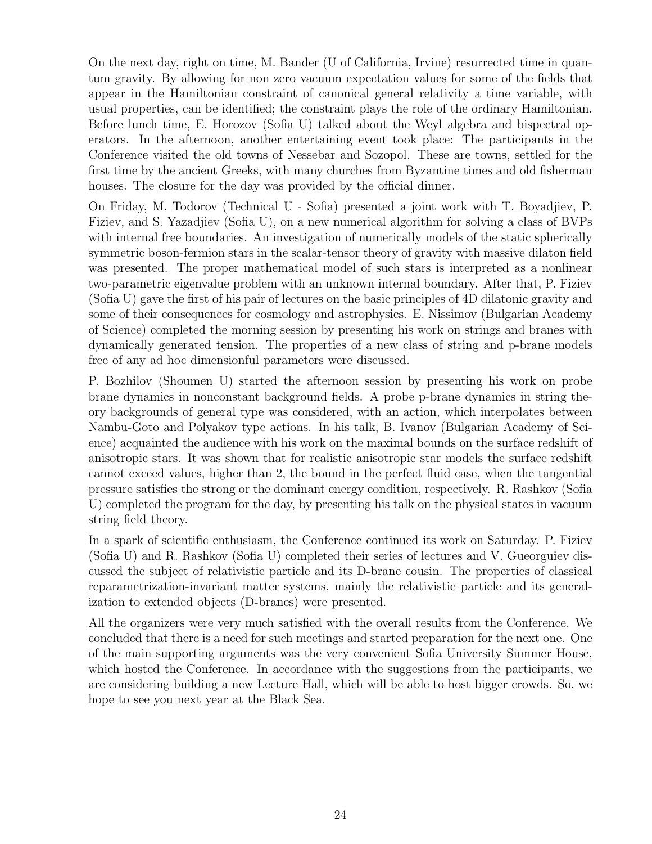On the next day, right on time, M. Bander (U of California, Irvine) resurrected time in quantum gravity. By allowing for non zero vacuum expectation values for some of the fields that appear in the Hamiltonian constraint of canonical general relativity a time variable, with usual properties, can be identified; the constraint plays the role of the ordinary Hamiltonian. Before lunch time, E. Horozov (Sofia U) talked about the Weyl algebra and bispectral operators. In the afternoon, another entertaining event took place: The participants in the Conference visited the old towns of Nessebar and Sozopol. These are towns, settled for the first time by the ancient Greeks, with many churches from Byzantine times and old fisherman houses. The closure for the day was provided by the official dinner.

On Friday, M. Todorov (Technical U - Sofia) presented a joint work with T. Boyadjiev, P. Fiziev, and S. Yazadjiev (Sofia U), on a new numerical algorithm for solving a class of BVPs with internal free boundaries. An investigation of numerically models of the static spherically symmetric boson-fermion stars in the scalar-tensor theory of gravity with massive dilaton field was presented. The proper mathematical model of such stars is interpreted as a nonlinear two-parametric eigenvalue problem with an unknown internal boundary. After that, P. Fiziev (Sofia U) gave the first of his pair of lectures on the basic principles of 4D dilatonic gravity and some of their consequences for cosmology and astrophysics. E. Nissimov (Bulgarian Academy of Science) completed the morning session by presenting his work on strings and branes with dynamically generated tension. The properties of a new class of string and p-brane models free of any ad hoc dimensionful parameters were discussed.

P. Bozhilov (Shoumen U) started the afternoon session by presenting his work on probe brane dynamics in nonconstant background fields. A probe p-brane dynamics in string theory backgrounds of general type was considered, with an action, which interpolates between Nambu-Goto and Polyakov type actions. In his talk, B. Ivanov (Bulgarian Academy of Science) acquainted the audience with his work on the maximal bounds on the surface redshift of anisotropic stars. It was shown that for realistic anisotropic star models the surface redshift cannot exceed values, higher than 2, the bound in the perfect fluid case, when the tangential pressure satisfies the strong or the dominant energy condition, respectively. R. Rashkov (Sofia U) completed the program for the day, by presenting his talk on the physical states in vacuum string field theory.

In a spark of scientific enthusiasm, the Conference continued its work on Saturday. P. Fiziev (Sofia U) and R. Rashkov (Sofia U) completed their series of lectures and V. Gueorguiev discussed the subject of relativistic particle and its D-brane cousin. The properties of classical reparametrization-invariant matter systems, mainly the relativistic particle and its generalization to extended objects (D-branes) were presented.

All the organizers were very much satisfied with the overall results from the Conference. We concluded that there is a need for such meetings and started preparation for the next one. One of the main supporting arguments was the very convenient Sofia University Summer House, which hosted the Conference. In accordance with the suggestions from the participants, we are considering building a new Lecture Hall, which will be able to host bigger crowds. So, we hope to see you next year at the Black Sea.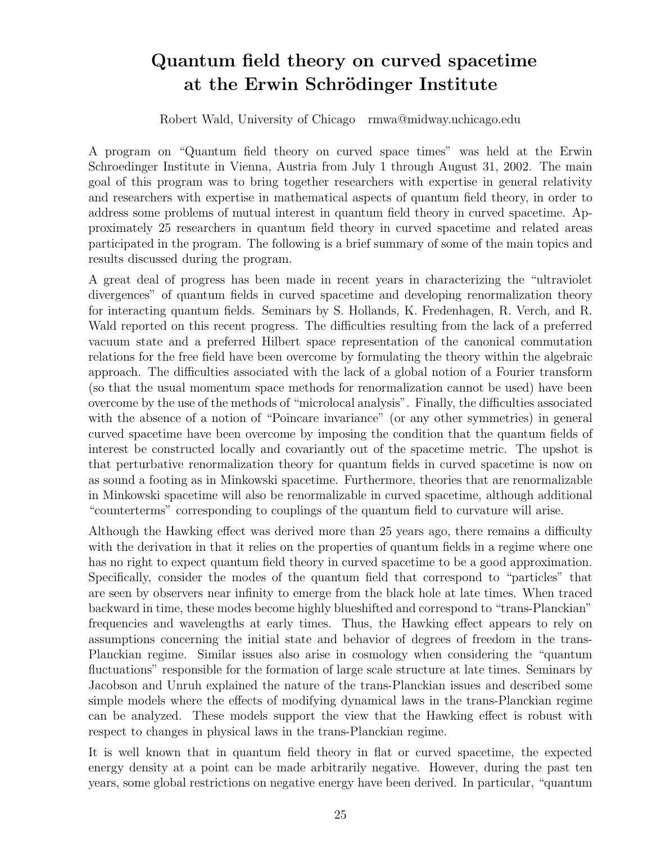# Quantum field theory on curved spacetime at the Erwin Schrödinger Institute

Robert Wald, University of Chicago rmwa@midway.uchicago.edu

A program on "Quantum field theory on curved space times" was held at the Erwin Schroedinger Institute in Vienna, Austria from July 1 through August 31, 2002. The main goal of this program was to bring together researchers with expertise in general relativity and researchers with expertise in mathematical aspects of quantum field theory, in order to address some problems of mutual interest in quantum field theory in curved spacetime. Approximately 25 researchers in quantum field theory in curved spacetime and related areas participated in the program. The following is a brief summary of some of the main topics and results discussed during the program.

A great deal of progress has been made in recent years in characterizing the "ultraviolet divergences" of quantum fields in curved spacetime and developing renormalization theory for interacting quantum fields. Seminars by S. Hollands, K. Fredenhagen, R. Verch, and R. Wald reported on this recent progress. The difficulties resulting from the lack of a preferred vacuum state and a preferred Hilbert space representation of the canonical commutation relations for the free field have been overcome by formulating the theory within the algebraic approach. The difficulties associated with the lack of a global notion of a Fourier transform (so that the usual momentum space methods for renormalization cannot be used) have been overcome by the use of the methods of "microlocal analysis". Finally, the difficulties associated with the absence of a notion of "Poincare invariance" (or any other symmetries) in general curved spacetime have been overcome by imposing the condition that the quantum fields of interest be constructed locally and covariantly out of the spacetime metric. The upshot is that perturbative renormalization theory for quantum fields in curved spacetime is now on as sound a footing as in Minkowski spacetime. Furthermore, theories that are renormalizable in Minkowski spacetime will also be renormalizable in curved spacetime, although additional "counterterms" corresponding to couplings of the quantum field to curvature will arise.

Although the Hawking effect was derived more than 25 years ago, there remains a difficulty with the derivation in that it relies on the properties of quantum fields in a regime where one has no right to expect quantum field theory in curved spacetime to be a good approximation. Specifically, consider the modes of the quantum field that correspond to "particles" that are seen by observers near infinity to emerge from the black hole at late times. When traced backward in time, these modes become highly blueshifted and correspond to "trans-Planckian" frequencies and wavelengths at early times. Thus, the Hawking effect appears to rely on assumptions concerning the initial state and behavior of degrees of freedom in the trans-Planckian regime. Similar issues also arise in cosmology when considering the "quantum fluctuations" responsible for the formation of large scale structure at late times. Seminars by Jacobson and Unruh explained the nature of the trans-Planckian issues and described some simple models where the effects of modifying dynamical laws in the trans-Planckian regime can be analyzed. These models support the view that the Hawking effect is robust with respect to changes in physical laws in the trans-Planckian regime.

It is well known that in quantum field theory in flat or curved spacetime, the expected energy density at a point can be made arbitrarily negative. However, during the past ten years, some global restrictions on negative energy have been derived. In particular, "quantum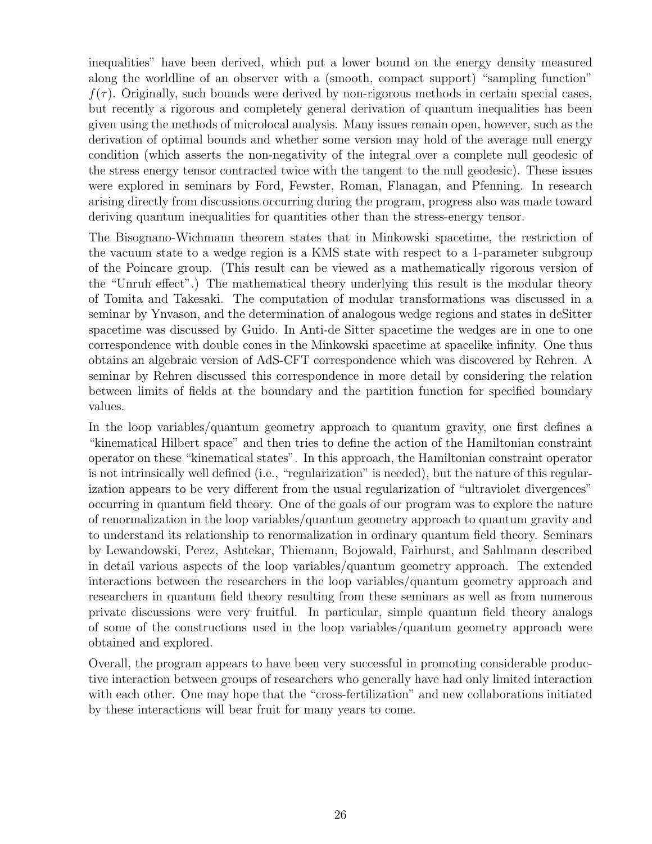inequalities" have been derived, which put a lower bound on the energy density measured along the worldline of an observer with a (smooth, compact support) "sampling function"  $f(\tau)$ . Originally, such bounds were derived by non-rigorous methods in certain special cases, but recently a rigorous and completely general derivation of quantum inequalities has been given using the methods of microlocal analysis. Many issues remain open, however, such as the derivation of optimal bounds and whether some version may hold of the average null energy condition (which asserts the non-negativity of the integral over a complete null geodesic of the stress energy tensor contracted twice with the tangent to the null geodesic). These issues were explored in seminars by Ford, Fewster, Roman, Flanagan, and Pfenning. In research arising directly from discussions occurring during the program, progress also was made toward deriving quantum inequalities for quantities other than the stress-energy tensor.

The Bisognano-Wichmann theorem states that in Minkowski spacetime, the restriction of the vacuum state to a wedge region is a KMS state with respect to a 1-parameter subgroup of the Poincare group. (This result can be viewed as a mathematically rigorous version of the "Unruh effect".) The mathematical theory underlying this result is the modular theory of Tomita and Takesaki. The computation of modular transformations was discussed in a seminar by Ynvason, and the determination of analogous wedge regions and states in deSitter spacetime was discussed by Guido. In Anti-de Sitter spacetime the wedges are in one to one correspondence with double cones in the Minkowski spacetime at spacelike infinity. One thus obtains an algebraic version of AdS-CFT correspondence which was discovered by Rehren. A seminar by Rehren discussed this correspondence in more detail by considering the relation between limits of fields at the boundary and the partition function for specified boundary values.

In the loop variables/quantum geometry approach to quantum gravity, one first defines a "kinematical Hilbert space" and then tries to define the action of the Hamiltonian constraint operator on these "kinematical states". In this approach, the Hamiltonian constraint operator is not intrinsically well defined (i.e., "regularization" is needed), but the nature of this regularization appears to be very different from the usual regularization of "ultraviolet divergences" occurring in quantum field theory. One of the goals of our program was to explore the nature of renormalization in the loop variables/quantum geometry approach to quantum gravity and to understand its relationship to renormalization in ordinary quantum field theory. Seminars by Lewandowski, Perez, Ashtekar, Thiemann, Bojowald, Fairhurst, and Sahlmann described in detail various aspects of the loop variables/quantum geometry approach. The extended interactions between the researchers in the loop variables/quantum geometry approach and researchers in quantum field theory resulting from these seminars as well as from numerous private discussions were very fruitful. In particular, simple quantum field theory analogs of some of the constructions used in the loop variables/quantum geometry approach were obtained and explored.

Overall, the program appears to have been very successful in promoting considerable productive interaction between groups of researchers who generally have had only limited interaction with each other. One may hope that the "cross-fertilization" and new collaborations initiated by these interactions will bear fruit for many years to come.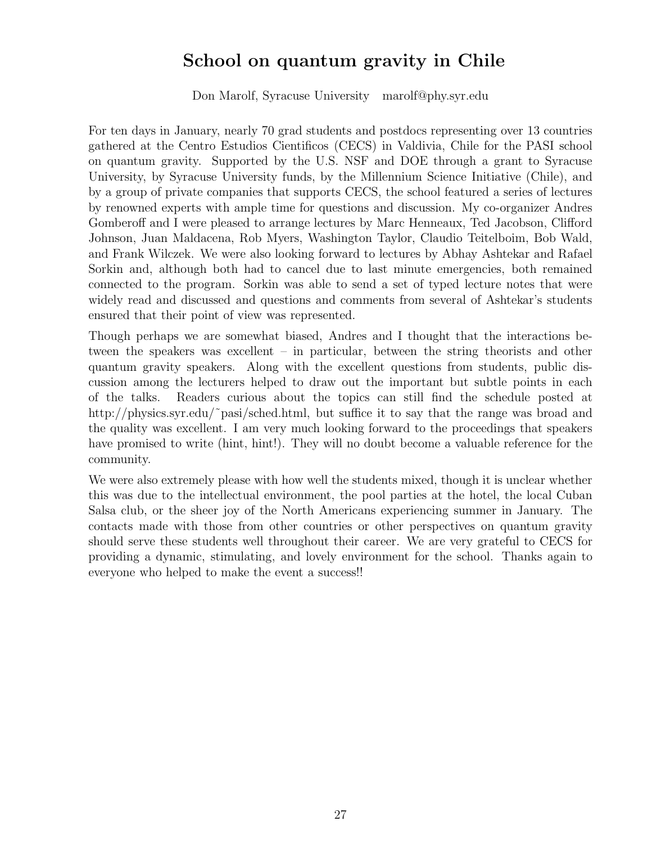## School on quantum gravity in Chile

Don Marolf, Syracuse University marolf@phy.syr.edu

For ten days in January, nearly 70 grad students and postdocs representing over 13 countries gathered at the Centro Estudios Cientificos (CECS) in Valdivia, Chile for the PASI school on quantum gravity. Supported by the U.S. NSF and DOE through a grant to Syracuse University, by Syracuse University funds, by the Millennium Science Initiative (Chile), and by a group of private companies that supports CECS, the school featured a series of lectures by renowned experts with ample time for questions and discussion. My co-organizer Andres Gomberoff and I were pleased to arrange lectures by Marc Henneaux, Ted Jacobson, Clifford Johnson, Juan Maldacena, Rob Myers, Washington Taylor, Claudio Teitelboim, Bob Wald, and Frank Wilczek. We were also looking forward to lectures by Abhay Ashtekar and Rafael Sorkin and, although both had to cancel due to last minute emergencies, both remained connected to the program. Sorkin was able to send a set of typed lecture notes that were widely read and discussed and questions and comments from several of Ashtekar's students ensured that their point of view was represented.

Though perhaps we are somewhat biased, Andres and I thought that the interactions between the speakers was excellent – in particular, between the string theorists and other quantum gravity speakers. Along with the excellent questions from students, public discussion among the lecturers helped to draw out the important but subtle points in each of the talks. Readers curious about the topics can still find the schedule posted at http://physics.syr.edu/~pasi/sched.html, but suffice it to say that the range was broad and the quality was excellent. I am very much looking forward to the proceedings that speakers have promised to write (hint, hint!). They will no doubt become a valuable reference for the community.

We were also extremely please with how well the students mixed, though it is unclear whether this was due to the intellectual environment, the pool parties at the hotel, the local Cuban Salsa club, or the sheer joy of the North Americans experiencing summer in January. The contacts made with those from other countries or other perspectives on quantum gravity should serve these students well throughout their career. We are very grateful to CECS for providing a dynamic, stimulating, and lovely environment for the school. Thanks again to everyone who helped to make the event a success!!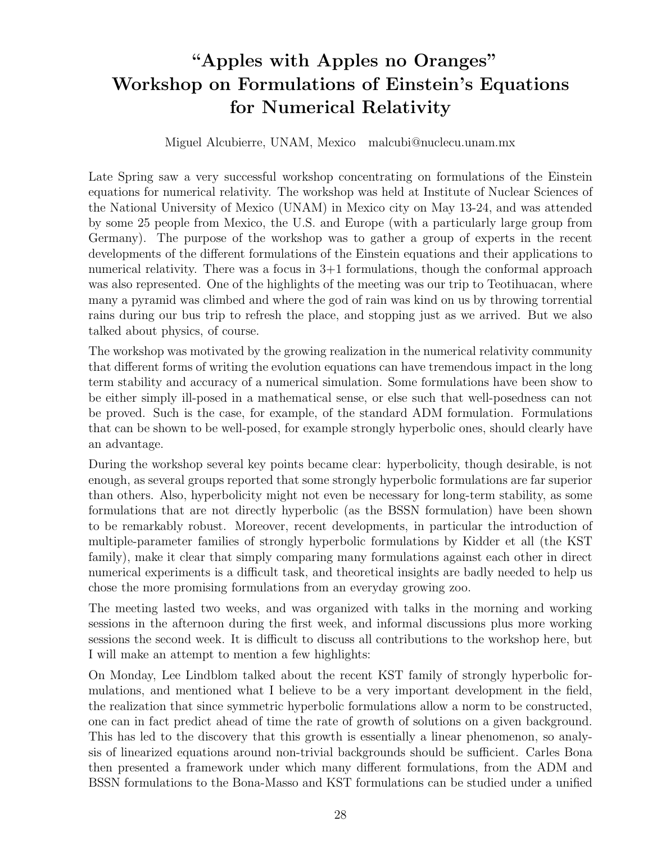# "Apples with Apples no Oranges" Workshop on Formulations of Einstein's Equations for Numerical Relativity

#### Miguel Alcubierre, UNAM, Mexico malcubi@nuclecu.unam.mx

Late Spring saw a very successful workshop concentrating on formulations of the Einstein equations for numerical relativity. The workshop was held at Institute of Nuclear Sciences of the National University of Mexico (UNAM) in Mexico city on May 13-24, and was attended by some 25 people from Mexico, the U.S. and Europe (with a particularly large group from Germany). The purpose of the workshop was to gather a group of experts in the recent developments of the different formulations of the Einstein equations and their applications to numerical relativity. There was a focus in  $3+1$  formulations, though the conformal approach was also represented. One of the highlights of the meeting was our trip to Teotihuacan, where many a pyramid was climbed and where the god of rain was kind on us by throwing torrential rains during our bus trip to refresh the place, and stopping just as we arrived. But we also talked about physics, of course.

The workshop was motivated by the growing realization in the numerical relativity community that different forms of writing the evolution equations can have tremendous impact in the long term stability and accuracy of a numerical simulation. Some formulations have been show to be either simply ill-posed in a mathematical sense, or else such that well-posedness can not be proved. Such is the case, for example, of the standard ADM formulation. Formulations that can be shown to be well-posed, for example strongly hyperbolic ones, should clearly have an advantage.

During the workshop several key points became clear: hyperbolicity, though desirable, is not enough, as several groups reported that some strongly hyperbolic formulations are far superior than others. Also, hyperbolicity might not even be necessary for long-term stability, as some formulations that are not directly hyperbolic (as the BSSN formulation) have been shown to be remarkably robust. Moreover, recent developments, in particular the introduction of multiple-parameter families of strongly hyperbolic formulations by Kidder et all (the KST family), make it clear that simply comparing many formulations against each other in direct numerical experiments is a difficult task, and theoretical insights are badly needed to help us chose the more promising formulations from an everyday growing zoo.

The meeting lasted two weeks, and was organized with talks in the morning and working sessions in the afternoon during the first week, and informal discussions plus more working sessions the second week. It is difficult to discuss all contributions to the workshop here, but I will make an attempt to mention a few highlights:

On Monday, Lee Lindblom talked about the recent KST family of strongly hyperbolic formulations, and mentioned what I believe to be a very important development in the field, the realization that since symmetric hyperbolic formulations allow a norm to be constructed, one can in fact predict ahead of time the rate of growth of solutions on a given background. This has led to the discovery that this growth is essentially a linear phenomenon, so analysis of linearized equations around non-trivial backgrounds should be sufficient. Carles Bona then presented a framework under which many different formulations, from the ADM and BSSN formulations to the Bona-Masso and KST formulations can be studied under a unified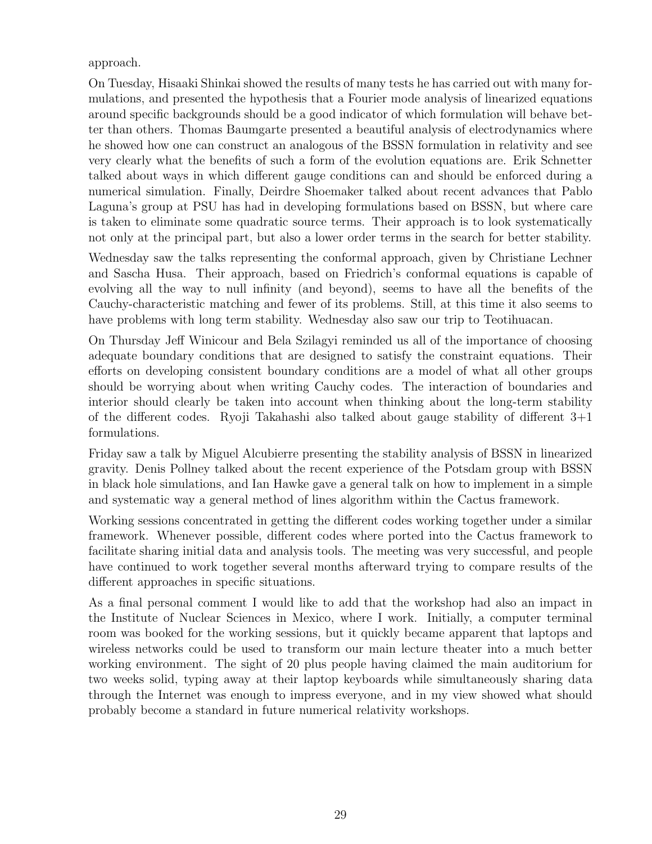approach.

On Tuesday, Hisaaki Shinkai showed the results of many tests he has carried out with many formulations, and presented the hypothesis that a Fourier mode analysis of linearized equations around specific backgrounds should be a good indicator of which formulation will behave better than others. Thomas Baumgarte presented a beautiful analysis of electrodynamics where he showed how one can construct an analogous of the BSSN formulation in relativity and see very clearly what the benefits of such a form of the evolution equations are. Erik Schnetter talked about ways in which different gauge conditions can and should be enforced during a numerical simulation. Finally, Deirdre Shoemaker talked about recent advances that Pablo Laguna's group at PSU has had in developing formulations based on BSSN, but where care is taken to eliminate some quadratic source terms. Their approach is to look systematically not only at the principal part, but also a lower order terms in the search for better stability.

Wednesday saw the talks representing the conformal approach, given by Christiane Lechner and Sascha Husa. Their approach, based on Friedrich's conformal equations is capable of evolving all the way to null infinity (and beyond), seems to have all the benefits of the Cauchy-characteristic matching and fewer of its problems. Still, at this time it also seems to have problems with long term stability. Wednesday also saw our trip to Teotihuacan.

On Thursday Jeff Winicour and Bela Szilagyi reminded us all of the importance of choosing adequate boundary conditions that are designed to satisfy the constraint equations. Their efforts on developing consistent boundary conditions are a model of what all other groups should be worrying about when writing Cauchy codes. The interaction of boundaries and interior should clearly be taken into account when thinking about the long-term stability of the different codes. Ryoji Takahashi also talked about gauge stability of different 3+1 formulations.

Friday saw a talk by Miguel Alcubierre presenting the stability analysis of BSSN in linearized gravity. Denis Pollney talked about the recent experience of the Potsdam group with BSSN in black hole simulations, and Ian Hawke gave a general talk on how to implement in a simple and systematic way a general method of lines algorithm within the Cactus framework.

Working sessions concentrated in getting the different codes working together under a similar framework. Whenever possible, different codes where ported into the Cactus framework to facilitate sharing initial data and analysis tools. The meeting was very successful, and people have continued to work together several months afterward trying to compare results of the different approaches in specific situations.

As a final personal comment I would like to add that the workshop had also an impact in the Institute of Nuclear Sciences in Mexico, where I work. Initially, a computer terminal room was booked for the working sessions, but it quickly became apparent that laptops and wireless networks could be used to transform our main lecture theater into a much better working environment. The sight of 20 plus people having claimed the main auditorium for two weeks solid, typing away at their laptop keyboards while simultaneously sharing data through the Internet was enough to impress everyone, and in my view showed what should probably become a standard in future numerical relativity workshops.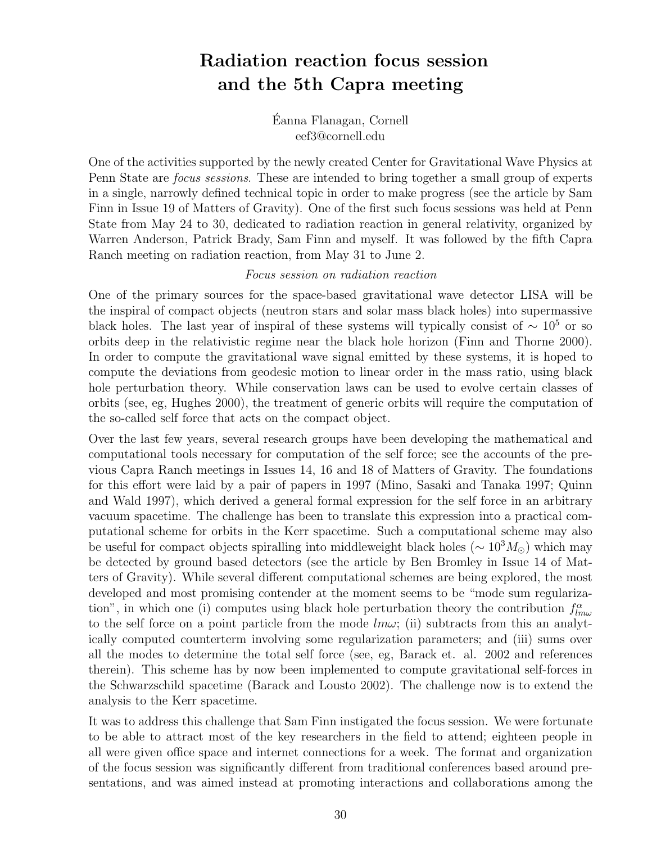# Radiation reaction focus session and the 5th Capra meeting

Eanna Flanagan, Cornell ´ eef3@cornell.edu

One of the activities supported by the newly created Center for Gravitational Wave Physics at Penn State are focus sessions. These are intended to bring together a small group of experts in a single, narrowly defined technical topic in order to make progress (see the article by Sam Finn in Issue 19 of Matters of Gravity). One of the first such focus sessions was held at Penn State from May 24 to 30, dedicated to radiation reaction in general relativity, organized by Warren Anderson, Patrick Brady, Sam Finn and myself. It was followed by the fifth Capra Ranch meeting on radiation reaction, from May 31 to June 2.

#### Focus session on radiation reaction

One of the primary sources for the space-based gravitational wave detector LISA will be the inspiral of compact objects (neutron stars and solar mass black holes) into supermassive black holes. The last year of inspiral of these systems will typically consist of  $\sim 10^5$  or so orbits deep in the relativistic regime near the black hole horizon (Finn and Thorne 2000). In order to compute the gravitational wave signal emitted by these systems, it is hoped to compute the deviations from geodesic motion to linear order in the mass ratio, using black hole perturbation theory. While conservation laws can be used to evolve certain classes of orbits (see, eg, Hughes 2000), the treatment of generic orbits will require the computation of the so-called self force that acts on the compact object.

Over the last few years, several research groups have been developing the mathematical and computational tools necessary for computation of the self force; see the accounts of the previous Capra Ranch meetings in Issues 14, 16 and 18 of Matters of Gravity. The foundations for this effort were laid by a pair of papers in 1997 (Mino, Sasaki and Tanaka 1997; Quinn and Wald 1997), which derived a general formal expression for the self force in an arbitrary vacuum spacetime. The challenge has been to translate this expression into a practical computational scheme for orbits in the Kerr spacetime. Such a computational scheme may also be useful for compact objects spiralling into middleweight black holes ( $\sim 10^{3} M_{\odot}$ ) which may be detected by ground based detectors (see the article by Ben Bromley in Issue 14 of Matters of Gravity). While several different computational schemes are being explored, the most developed and most promising contender at the moment seems to be "mode sum regularization", in which one (i) computes using black hole perturbation theory the contribution  $f_{lm\omega}^{\alpha}$ to the self force on a point particle from the mode  $lm\omega$ ; (ii) subtracts from this an analytically computed counterterm involving some regularization parameters; and (iii) sums over all the modes to determine the total self force (see, eg, Barack et. al. 2002 and references therein). This scheme has by now been implemented to compute gravitational self-forces in the Schwarzschild spacetime (Barack and Lousto 2002). The challenge now is to extend the analysis to the Kerr spacetime.

It was to address this challenge that Sam Finn instigated the focus session. We were fortunate to be able to attract most of the key researchers in the field to attend; eighteen people in all were given office space and internet connections for a week. The format and organization of the focus session was significantly different from traditional conferences based around presentations, and was aimed instead at promoting interactions and collaborations among the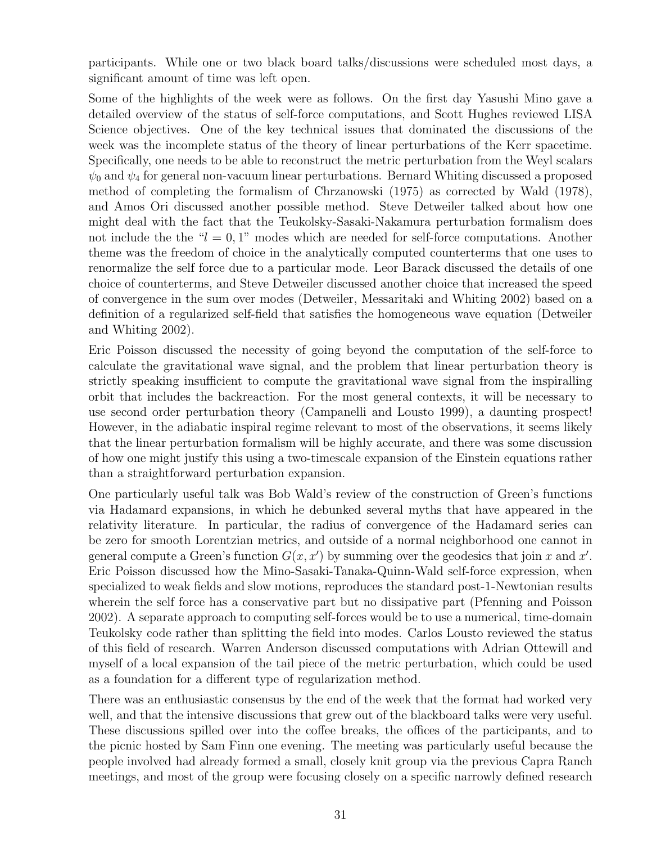participants. While one or two black board talks/discussions were scheduled most days, a significant amount of time was left open.

Some of the highlights of the week were as follows. On the first day Yasushi Mino gave a detailed overview of the status of self-force computations, and Scott Hughes reviewed LISA Science objectives. One of the key technical issues that dominated the discussions of the week was the incomplete status of the theory of linear perturbations of the Kerr spacetime. Specifically, one needs to be able to reconstruct the metric perturbation from the Weyl scalars  $\psi_0$  and  $\psi_4$  for general non-vacuum linear perturbations. Bernard Whiting discussed a proposed method of completing the formalism of Chrzanowski (1975) as corrected by Wald (1978), and Amos Ori discussed another possible method. Steve Detweiler talked about how one might deal with the fact that the Teukolsky-Sasaki-Nakamura perturbation formalism does not include the the " $l = 0, 1$ " modes which are needed for self-force computations. Another theme was the freedom of choice in the analytically computed counterterms that one uses to renormalize the self force due to a particular mode. Leor Barack discussed the details of one choice of counterterms, and Steve Detweiler discussed another choice that increased the speed of convergence in the sum over modes (Detweiler, Messaritaki and Whiting 2002) based on a definition of a regularized self-field that satisfies the homogeneous wave equation (Detweiler and Whiting 2002).

Eric Poisson discussed the necessity of going beyond the computation of the self-force to calculate the gravitational wave signal, and the problem that linear perturbation theory is strictly speaking insufficient to compute the gravitational wave signal from the inspiralling orbit that includes the backreaction. For the most general contexts, it will be necessary to use second order perturbation theory (Campanelli and Lousto 1999), a daunting prospect! However, in the adiabatic inspiral regime relevant to most of the observations, it seems likely that the linear perturbation formalism will be highly accurate, and there was some discussion of how one might justify this using a two-timescale expansion of the Einstein equations rather than a straightforward perturbation expansion.

One particularly useful talk was Bob Wald's review of the construction of Green's functions via Hadamard expansions, in which he debunked several myths that have appeared in the relativity literature. In particular, the radius of convergence of the Hadamard series can be zero for smooth Lorentzian metrics, and outside of a normal neighborhood one cannot in general compute a Green's function  $G(x, x')$  by summing over the geodesics that join x and x'. Eric Poisson discussed how the Mino-Sasaki-Tanaka-Quinn-Wald self-force expression, when specialized to weak fields and slow motions, reproduces the standard post-1-Newtonian results wherein the self force has a conservative part but no dissipative part (Pfenning and Poisson 2002). A separate approach to computing self-forces would be to use a numerical, time-domain Teukolsky code rather than splitting the field into modes. Carlos Lousto reviewed the status of this field of research. Warren Anderson discussed computations with Adrian Ottewill and myself of a local expansion of the tail piece of the metric perturbation, which could be used as a foundation for a different type of regularization method.

There was an enthusiastic consensus by the end of the week that the format had worked very well, and that the intensive discussions that grew out of the blackboard talks were very useful. These discussions spilled over into the coffee breaks, the offices of the participants, and to the picnic hosted by Sam Finn one evening. The meeting was particularly useful because the people involved had already formed a small, closely knit group via the previous Capra Ranch meetings, and most of the group were focusing closely on a specific narrowly defined research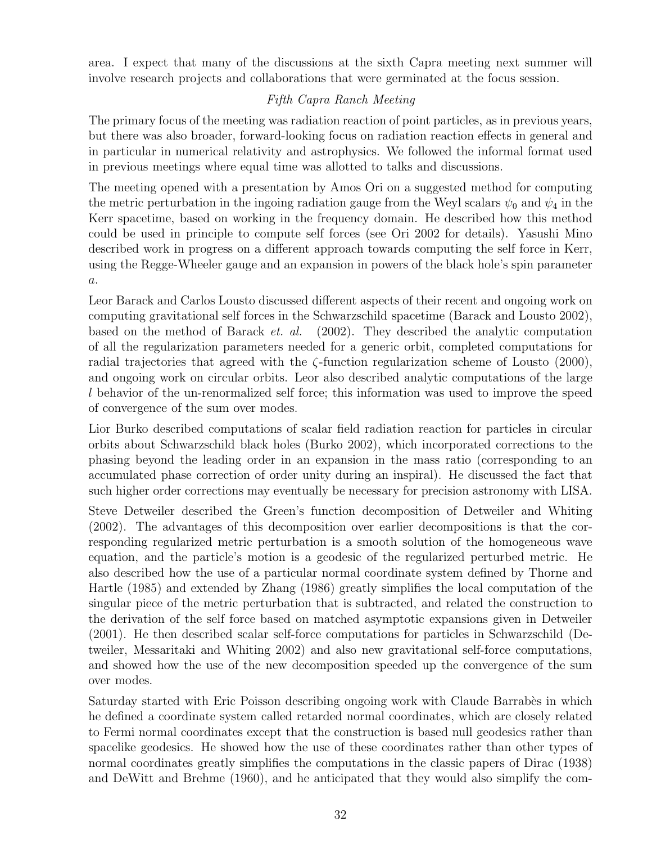area. I expect that many of the discussions at the sixth Capra meeting next summer will involve research projects and collaborations that were germinated at the focus session.

#### Fifth Capra Ranch Meeting

The primary focus of the meeting was radiation reaction of point particles, as in previous years, but there was also broader, forward-looking focus on radiation reaction effects in general and in particular in numerical relativity and astrophysics. We followed the informal format used in previous meetings where equal time was allotted to talks and discussions.

The meeting opened with a presentation by Amos Ori on a suggested method for computing the metric perturbation in the ingoing radiation gauge from the Weyl scalars  $\psi_0$  and  $\psi_4$  in the Kerr spacetime, based on working in the frequency domain. He described how this method could be used in principle to compute self forces (see Ori 2002 for details). Yasushi Mino described work in progress on a different approach towards computing the self force in Kerr, using the Regge-Wheeler gauge and an expansion in powers of the black hole's spin parameter a.

Leor Barack and Carlos Lousto discussed different aspects of their recent and ongoing work on computing gravitational self forces in the Schwarzschild spacetime (Barack and Lousto 2002), based on the method of Barack et. al. (2002). They described the analytic computation of all the regularization parameters needed for a generic orbit, completed computations for radial trajectories that agreed with the  $\zeta$ -function regularization scheme of Lousto (2000), and ongoing work on circular orbits. Leor also described analytic computations of the large l behavior of the un-renormalized self force; this information was used to improve the speed of convergence of the sum over modes.

Lior Burko described computations of scalar field radiation reaction for particles in circular orbits about Schwarzschild black holes (Burko 2002), which incorporated corrections to the phasing beyond the leading order in an expansion in the mass ratio (corresponding to an accumulated phase correction of order unity during an inspiral). He discussed the fact that such higher order corrections may eventually be necessary for precision astronomy with LISA.

Steve Detweiler described the Green's function decomposition of Detweiler and Whiting (2002). The advantages of this decomposition over earlier decompositions is that the corresponding regularized metric perturbation is a smooth solution of the homogeneous wave equation, and the particle's motion is a geodesic of the regularized perturbed metric. He also described how the use of a particular normal coordinate system defined by Thorne and Hartle (1985) and extended by Zhang (1986) greatly simplifies the local computation of the singular piece of the metric perturbation that is subtracted, and related the construction to the derivation of the self force based on matched asymptotic expansions given in Detweiler (2001). He then described scalar self-force computations for particles in Schwarzschild (Detweiler, Messaritaki and Whiting 2002) and also new gravitational self-force computations, and showed how the use of the new decomposition speeded up the convergence of the sum over modes.

Saturday started with Eric Poisson describing ongoing work with Claude Barrabes in which he defined a coordinate system called retarded normal coordinates, which are closely related to Fermi normal coordinates except that the construction is based null geodesics rather than spacelike geodesics. He showed how the use of these coordinates rather than other types of normal coordinates greatly simplifies the computations in the classic papers of Dirac (1938) and DeWitt and Brehme (1960), and he anticipated that they would also simplify the com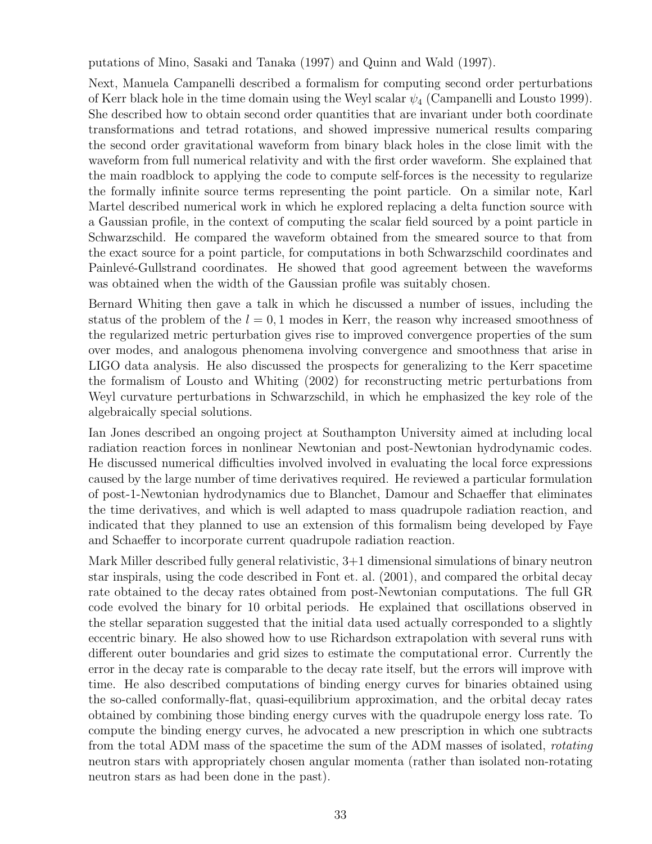putations of Mino, Sasaki and Tanaka (1997) and Quinn and Wald (1997).

Next, Manuela Campanelli described a formalism for computing second order perturbations of Kerr black hole in the time domain using the Weyl scalar  $\psi_4$  (Campanelli and Lousto 1999). She described how to obtain second order quantities that are invariant under both coordinate transformations and tetrad rotations, and showed impressive numerical results comparing the second order gravitational waveform from binary black holes in the close limit with the waveform from full numerical relativity and with the first order waveform. She explained that the main roadblock to applying the code to compute self-forces is the necessity to regularize the formally infinite source terms representing the point particle. On a similar note, Karl Martel described numerical work in which he explored replacing a delta function source with a Gaussian profile, in the context of computing the scalar field sourced by a point particle in Schwarzschild. He compared the waveform obtained from the smeared source to that from the exact source for a point particle, for computations in both Schwarzschild coordinates and Painlevé-Gullstrand coordinates. He showed that good agreement between the waveforms was obtained when the width of the Gaussian profile was suitably chosen.

Bernard Whiting then gave a talk in which he discussed a number of issues, including the status of the problem of the  $l = 0, 1$  modes in Kerr, the reason why increased smoothness of the regularized metric perturbation gives rise to improved convergence properties of the sum over modes, and analogous phenomena involving convergence and smoothness that arise in LIGO data analysis. He also discussed the prospects for generalizing to the Kerr spacetime the formalism of Lousto and Whiting (2002) for reconstructing metric perturbations from Weyl curvature perturbations in Schwarzschild, in which he emphasized the key role of the algebraically special solutions.

Ian Jones described an ongoing project at Southampton University aimed at including local radiation reaction forces in nonlinear Newtonian and post-Newtonian hydrodynamic codes. He discussed numerical difficulties involved involved in evaluating the local force expressions caused by the large number of time derivatives required. He reviewed a particular formulation of post-1-Newtonian hydrodynamics due to Blanchet, Damour and Schaeffer that eliminates the time derivatives, and which is well adapted to mass quadrupole radiation reaction, and indicated that they planned to use an extension of this formalism being developed by Faye and Schaeffer to incorporate current quadrupole radiation reaction.

Mark Miller described fully general relativistic, 3+1 dimensional simulations of binary neutron star inspirals, using the code described in Font et. al. (2001), and compared the orbital decay rate obtained to the decay rates obtained from post-Newtonian computations. The full GR code evolved the binary for 10 orbital periods. He explained that oscillations observed in the stellar separation suggested that the initial data used actually corresponded to a slightly eccentric binary. He also showed how to use Richardson extrapolation with several runs with different outer boundaries and grid sizes to estimate the computational error. Currently the error in the decay rate is comparable to the decay rate itself, but the errors will improve with time. He also described computations of binding energy curves for binaries obtained using the so-called conformally-flat, quasi-equilibrium approximation, and the orbital decay rates obtained by combining those binding energy curves with the quadrupole energy loss rate. To compute the binding energy curves, he advocated a new prescription in which one subtracts from the total ADM mass of the spacetime the sum of the ADM masses of isolated, *rotating* neutron stars with appropriately chosen angular momenta (rather than isolated non-rotating neutron stars as had been done in the past).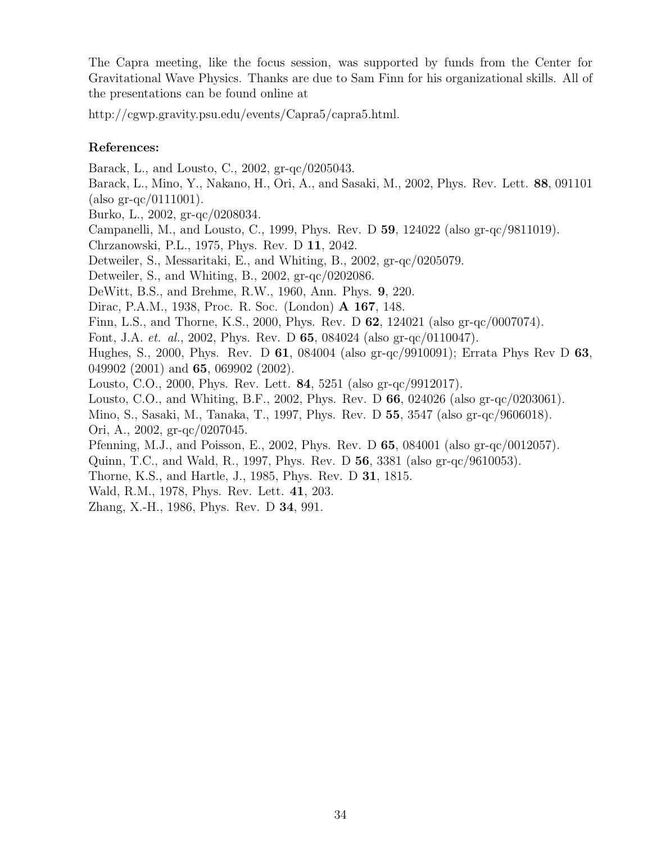The Capra meeting, like the focus session, was supported by funds from the Center for Gravitational Wave Physics. Thanks are due to Sam Finn for his organizational skills. All of the presentations can be found online at

http://cgwp.gravity.psu.edu/events/Capra5/capra5.html.

#### References:

Barack, L., and Lousto, C., 2002, gr-qc/0205043.

Barack, L., Mino, Y., Nakano, H., Ori, A., and Sasaki, M., 2002, Phys. Rev. Lett. 88, 091101 (also gr-qc/0111001).

Burko, L., 2002, gr-qc/0208034.

Campanelli, M., and Lousto, C., 1999, Phys. Rev. D 59, 124022 (also gr-qc/9811019).

Chrzanowski, P.L., 1975, Phys. Rev. D 11, 2042.

Detweiler, S., Messaritaki, E., and Whiting, B., 2002, gr-qc/0205079.

Detweiler, S., and Whiting, B., 2002, gr-qc/0202086.

DeWitt, B.S., and Brehme, R.W., 1960, Ann. Phys. 9, 220.

Dirac, P.A.M., 1938, Proc. R. Soc. (London) A 167, 148.

Finn, L.S., and Thorne, K.S., 2000, Phys. Rev. D 62, 124021 (also gr-qc/0007074).

Font, J.A. et. al., 2002, Phys. Rev. D 65, 084024 (also gr-qc/0110047).

Hughes, S., 2000, Phys. Rev. D 61, 084004 (also gr-qc/9910091); Errata Phys Rev D 63, 049902 (2001) and **65**, 069902 (2002).

Lousto, C.O., 2000, Phys. Rev. Lett. 84, 5251 (also gr-qc/9912017).

Lousto, C.O., and Whiting, B.F., 2002, Phys. Rev. D 66, 024026 (also gr-qc/0203061).

Mino, S., Sasaki, M., Tanaka, T., 1997, Phys. Rev. D 55, 3547 (also gr-qc/9606018).

Ori, A., 2002, gr-qc/0207045.

Pfenning, M.J., and Poisson, E., 2002, Phys. Rev. D 65, 084001 (also gr-qc/0012057).

Quinn, T.C., and Wald, R., 1997, Phys. Rev. D 56, 3381 (also gr-qc/9610053).

Thorne, K.S., and Hartle, J., 1985, Phys. Rev. D 31, 1815.

Wald, R.M., 1978, Phys. Rev. Lett. 41, 203.

Zhang, X.-H., 1986, Phys. Rev. D 34, 991.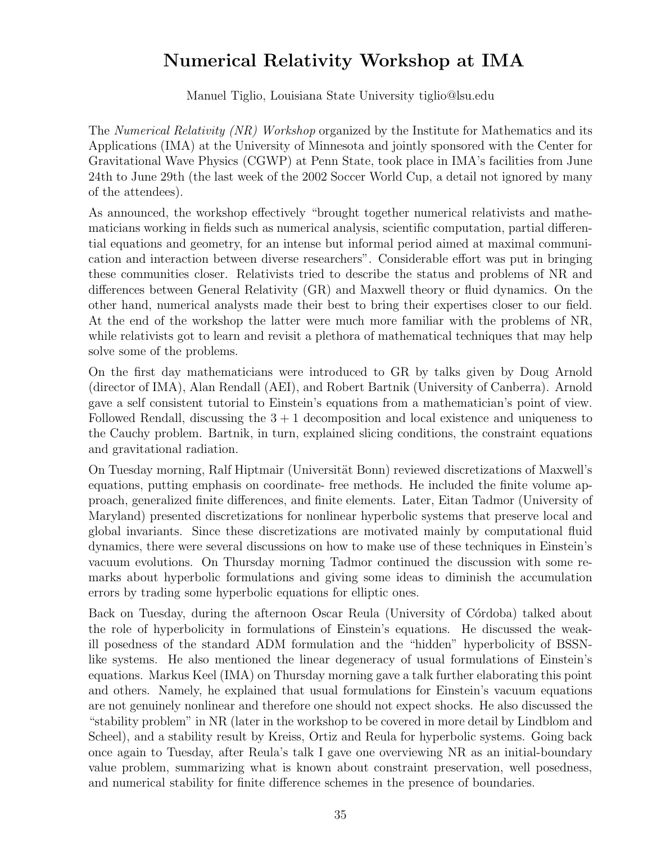## Numerical Relativity Workshop at IMA

Manuel Tiglio, Louisiana State University tiglio@lsu.edu

The *Numerical Relativity (NR) Workshop* organized by the Institute for Mathematics and its Applications (IMA) at the University of Minnesota and jointly sponsored with the Center for Gravitational Wave Physics (CGWP) at Penn State, took place in IMA's facilities from June 24th to June 29th (the last week of the 2002 Soccer World Cup, a detail not ignored by many of the attendees).

As announced, the workshop effectively "brought together numerical relativists and mathematicians working in fields such as numerical analysis, scientific computation, partial differential equations and geometry, for an intense but informal period aimed at maximal communication and interaction between diverse researchers". Considerable effort was put in bringing these communities closer. Relativists tried to describe the status and problems of NR and differences between General Relativity (GR) and Maxwell theory or fluid dynamics. On the other hand, numerical analysts made their best to bring their expertises closer to our field. At the end of the workshop the latter were much more familiar with the problems of NR, while relativists got to learn and revisit a plethora of mathematical techniques that may help solve some of the problems.

On the first day mathematicians were introduced to GR by talks given by Doug Arnold (director of IMA), Alan Rendall (AEI), and Robert Bartnik (University of Canberra). Arnold gave a self consistent tutorial to Einstein's equations from a mathematician's point of view. Followed Rendall, discussing the  $3 + 1$  decomposition and local existence and uniqueness to the Cauchy problem. Bartnik, in turn, explained slicing conditions, the constraint equations and gravitational radiation.

On Tuesday morning, Ralf Hiptmair (Universität Bonn) reviewed discretizations of Maxwell's equations, putting emphasis on coordinate- free methods. He included the finite volume approach, generalized finite differences, and finite elements. Later, Eitan Tadmor (University of Maryland) presented discretizations for nonlinear hyperbolic systems that preserve local and global invariants. Since these discretizations are motivated mainly by computational fluid dynamics, there were several discussions on how to make use of these techniques in Einstein's vacuum evolutions. On Thursday morning Tadmor continued the discussion with some remarks about hyperbolic formulations and giving some ideas to diminish the accumulation errors by trading some hyperbolic equations for elliptic ones.

Back on Tuesday, during the afternoon Oscar Reula (University of Córdoba) talked about the role of hyperbolicity in formulations of Einstein's equations. He discussed the weakill posedness of the standard ADM formulation and the "hidden" hyperbolicity of BSSNlike systems. He also mentioned the linear degeneracy of usual formulations of Einstein's equations. Markus Keel (IMA) on Thursday morning gave a talk further elaborating this point and others. Namely, he explained that usual formulations for Einstein's vacuum equations are not genuinely nonlinear and therefore one should not expect shocks. He also discussed the "stability problem" in NR (later in the workshop to be covered in more detail by Lindblom and Scheel), and a stability result by Kreiss, Ortiz and Reula for hyperbolic systems. Going back once again to Tuesday, after Reula's talk I gave one overviewing NR as an initial-boundary value problem, summarizing what is known about constraint preservation, well posedness, and numerical stability for finite difference schemes in the presence of boundaries.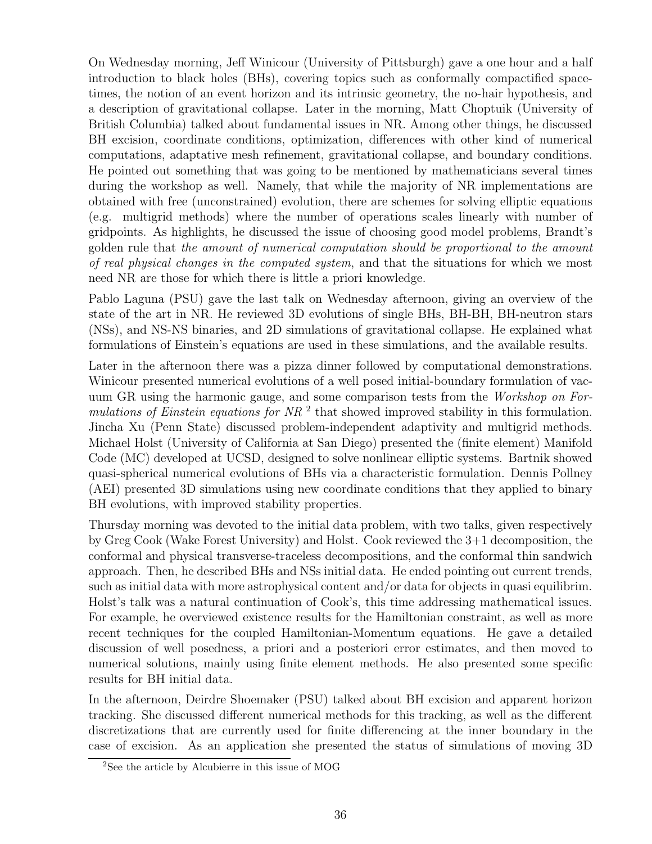On Wednesday morning, Jeff Winicour (University of Pittsburgh) gave a one hour and a half introduction to black holes (BHs), covering topics such as conformally compactified spacetimes, the notion of an event horizon and its intrinsic geometry, the no-hair hypothesis, and a description of gravitational collapse. Later in the morning, Matt Choptuik (University of British Columbia) talked about fundamental issues in NR. Among other things, he discussed BH excision, coordinate conditions, optimization, differences with other kind of numerical computations, adaptative mesh refinement, gravitational collapse, and boundary conditions. He pointed out something that was going to be mentioned by mathematicians several times during the workshop as well. Namely, that while the majority of NR implementations are obtained with free (unconstrained) evolution, there are schemes for solving elliptic equations (e.g. multigrid methods) where the number of operations scales linearly with number of gridpoints. As highlights, he discussed the issue of choosing good model problems, Brandt's golden rule that the amount of numerical computation should be proportional to the amount of real physical changes in the computed system, and that the situations for which we most need NR are those for which there is little a priori knowledge.

Pablo Laguna (PSU) gave the last talk on Wednesday afternoon, giving an overview of the state of the art in NR. He reviewed 3D evolutions of single BHs, BH-BH, BH-neutron stars (NSs), and NS-NS binaries, and 2D simulations of gravitational collapse. He explained what formulations of Einstein's equations are used in these simulations, and the available results.

Later in the afternoon there was a pizza dinner followed by computational demonstrations. Winicour presented numerical evolutions of a well posed initial-boundary formulation of vacuum GR using the harmonic gauge, and some comparison tests from the *Workshop on For*mulations of Einstein equations for  $NR<sup>2</sup>$  that showed improved stability in this formulation. Jincha Xu (Penn State) discussed problem-independent adaptivity and multigrid methods. Michael Holst (University of California at San Diego) presented the (finite element) Manifold Code (MC) developed at UCSD, designed to solve nonlinear elliptic systems. Bartnik showed quasi-spherical numerical evolutions of BHs via a characteristic formulation. Dennis Pollney (AEI) presented 3D simulations using new coordinate conditions that they applied to binary BH evolutions, with improved stability properties.

Thursday morning was devoted to the initial data problem, with two talks, given respectively by Greg Cook (Wake Forest University) and Holst. Cook reviewed the 3+1 decomposition, the conformal and physical transverse-traceless decompositions, and the conformal thin sandwich approach. Then, he described BHs and NSs initial data. He ended pointing out current trends, such as initial data with more astrophysical content and/or data for objects in quasi equilibrim. Holst's talk was a natural continuation of Cook's, this time addressing mathematical issues. For example, he overviewed existence results for the Hamiltonian constraint, as well as more recent techniques for the coupled Hamiltonian-Momentum equations. He gave a detailed discussion of well posedness, a priori and a posteriori error estimates, and then moved to numerical solutions, mainly using finite element methods. He also presented some specific results for BH initial data.

In the afternoon, Deirdre Shoemaker (PSU) talked about BH excision and apparent horizon tracking. She discussed different numerical methods for this tracking, as well as the different discretizations that are currently used for finite differencing at the inner boundary in the case of excision. As an application she presented the status of simulations of moving 3D

<sup>&</sup>lt;sup>2</sup>See the article by Alcubierre in this issue of MOG